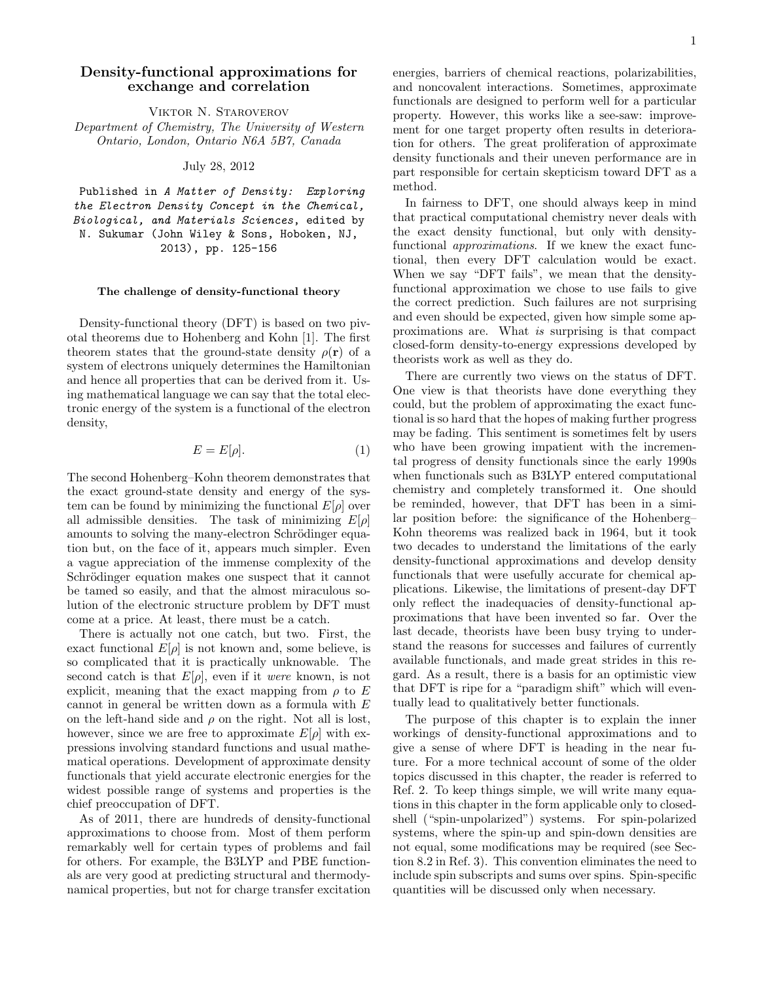Viktor N. Staroverov

Department of Chemistry, The University of Western Ontario, London, Ontario N6A 5B7, Canada

## July 28, 2012

Published in A Matter of Density: Exploring the Electron Density Concept in the Chemical, Biological, and Materials Sciences, edited by N. Sukumar (John Wiley & Sons, Hoboken, NJ, 2013), pp. 125-156

## The challenge of density-functional theory

Density-functional theory (DFT) is based on two pivotal theorems due to Hohenberg and Kohn [1]. The first theorem states that the ground-state density  $\rho(\mathbf{r})$  of a system of electrons uniquely determines the Hamiltonian and hence all properties that can be derived from it. Using mathematical language we can say that the total electronic energy of the system is a functional of the electron density,

$$
E = E[\rho].\tag{1}
$$

The second Hohenberg–Kohn theorem demonstrates that the exact ground-state density and energy of the system can be found by minimizing the functional  $E[\rho]$  over all admissible densities. The task of minimizing  $E[\rho]$ amounts to solving the many-electron Schrödinger equation but, on the face of it, appears much simpler. Even a vague appreciation of the immense complexity of the Schrödinger equation makes one suspect that it cannot be tamed so easily, and that the almost miraculous solution of the electronic structure problem by DFT must come at a price. At least, there must be a catch.

There is actually not one catch, but two. First, the exact functional  $E[\rho]$  is not known and, some believe, is so complicated that it is practically unknowable. The second catch is that  $E[\rho]$ , even if it were known, is not explicit, meaning that the exact mapping from  $\rho$  to E cannot in general be written down as a formula with E on the left-hand side and  $\rho$  on the right. Not all is lost, however, since we are free to approximate  $E[\rho]$  with expressions involving standard functions and usual mathematical operations. Development of approximate density functionals that yield accurate electronic energies for the widest possible range of systems and properties is the chief preoccupation of DFT.

As of 2011, there are hundreds of density-functional approximations to choose from. Most of them perform remarkably well for certain types of problems and fail for others. For example, the B3LYP and PBE functionals are very good at predicting structural and thermodynamical properties, but not for charge transfer excitation energies, barriers of chemical reactions, polarizabilities, and noncovalent interactions. Sometimes, approximate functionals are designed to perform well for a particular property. However, this works like a see-saw: improvement for one target property often results in deterioration for others. The great proliferation of approximate density functionals and their uneven performance are in part responsible for certain skepticism toward DFT as a method.

In fairness to DFT, one should always keep in mind that practical computational chemistry never deals with the exact density functional, but only with densityfunctional *approximations*. If we knew the exact functional, then every DFT calculation would be exact. When we say "DFT fails", we mean that the densityfunctional approximation we chose to use fails to give the correct prediction. Such failures are not surprising and even should be expected, given how simple some approximations are. What is surprising is that compact closed-form density-to-energy expressions developed by theorists work as well as they do.

There are currently two views on the status of DFT. One view is that theorists have done everything they could, but the problem of approximating the exact functional is so hard that the hopes of making further progress may be fading. This sentiment is sometimes felt by users who have been growing impatient with the incremental progress of density functionals since the early 1990s when functionals such as B3LYP entered computational chemistry and completely transformed it. One should be reminded, however, that DFT has been in a similar position before: the significance of the Hohenberg– Kohn theorems was realized back in 1964, but it took two decades to understand the limitations of the early density-functional approximations and develop density functionals that were usefully accurate for chemical applications. Likewise, the limitations of present-day DFT only reflect the inadequacies of density-functional approximations that have been invented so far. Over the last decade, theorists have been busy trying to understand the reasons for successes and failures of currently available functionals, and made great strides in this regard. As a result, there is a basis for an optimistic view that DFT is ripe for a "paradigm shift" which will eventually lead to qualitatively better functionals.

The purpose of this chapter is to explain the inner workings of density-functional approximations and to give a sense of where DFT is heading in the near future. For a more technical account of some of the older topics discussed in this chapter, the reader is referred to Ref. 2. To keep things simple, we will write many equations in this chapter in the form applicable only to closedshell ("spin-unpolarized") systems. For spin-polarized systems, where the spin-up and spin-down densities are not equal, some modifications may be required (see Section 8.2 in Ref. 3). This convention eliminates the need to include spin subscripts and sums over spins. Spin-specific quantities will be discussed only when necessary.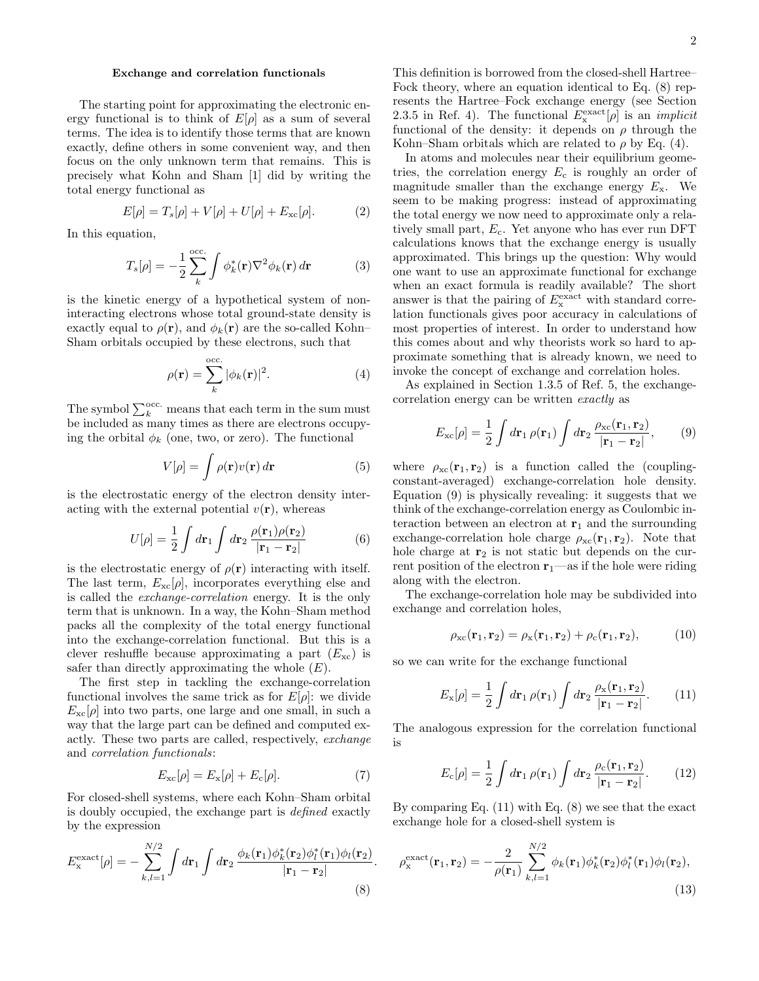#### Exchange and correlation functionals

The starting point for approximating the electronic energy functional is to think of  $E[\rho]$  as a sum of several terms. The idea is to identify those terms that are known exactly, define others in some convenient way, and then focus on the only unknown term that remains. This is precisely what Kohn and Sham [1] did by writing the total energy functional as

$$
E[\rho] = T_s[\rho] + V[\rho] + U[\rho] + E_{\rm xc}[\rho].
$$
 (2)

In this equation,

$$
T_s[\rho] = -\frac{1}{2} \sum_{k}^{\text{occ.}} \int \phi_k^*(\mathbf{r}) \nabla^2 \phi_k(\mathbf{r}) d\mathbf{r}
$$
 (3)

is the kinetic energy of a hypothetical system of noninteracting electrons whose total ground-state density is exactly equal to  $\rho(\mathbf{r})$ , and  $\phi_k(\mathbf{r})$  are the so-called Kohn– Sham orbitals occupied by these electrons, such that

$$
\rho(\mathbf{r}) = \sum_{k}^{\text{occ.}} |\phi_k(\mathbf{r})|^2.
$$
 (4)

The symbol  $\sum_{k}^{\text{occ.}}$  means that each term in the sum must be included as many times as there are electrons occupying the orbital  $\phi_k$  (one, two, or zero). The functional

$$
V[\rho] = \int \rho(\mathbf{r}) v(\mathbf{r}) \, d\mathbf{r}
$$
 (5)

is the electrostatic energy of the electron density interacting with the external potential  $v(\mathbf{r})$ , whereas

$$
U[\rho] = \frac{1}{2} \int d\mathbf{r}_1 \int d\mathbf{r}_2 \, \frac{\rho(\mathbf{r}_1)\rho(\mathbf{r}_2)}{|\mathbf{r}_1 - \mathbf{r}_2|} \tag{6}
$$

is the electrostatic energy of  $\rho(\mathbf{r})$  interacting with itself. The last term,  $E_{\text{xc}}[\rho]$ , incorporates everything else and is called the exchange-correlation energy. It is the only term that is unknown. In a way, the Kohn–Sham method packs all the complexity of the total energy functional into the exchange-correlation functional. But this is a clever reshuffle because approximating a part  $(E_{\text{xc}})$  is safer than directly approximating the whole  $(E)$ .

The first step in tackling the exchange-correlation functional involves the same trick as for  $E[\rho]$ : we divide  $E_{\rm xc}[\rho]$  into two parts, one large and one small, in such a way that the large part can be defined and computed exactly. These two parts are called, respectively, exchange and correlation functionals:

$$
E_{\rm xc}[\rho] = E_{\rm x}[\rho] + E_{\rm c}[\rho].\tag{7}
$$

For closed-shell systems, where each Kohn–Sham orbital is doubly occupied, the exchange part is defined exactly by the expression

$$
E_{\mathbf{x}}^{\text{exact}}[\rho] = -\sum_{k,l=1}^{N/2} \int d\mathbf{r}_1 \int d\mathbf{r}_2 \, \frac{\phi_k(\mathbf{r}_1)\phi_k^*(\mathbf{r}_2)\phi_l^*(\mathbf{r}_1)\phi_l(\mathbf{r}_2)}{|\mathbf{r}_1 - \mathbf{r}_2|}.
$$
\n(8)

This definition is borrowed from the closed-shell Hartree– Fock theory, where an equation identical to Eq. (8) represents the Hartree–Fock exchange energy (see Section 2.3.5 in Ref. 4). The functional  $E_{\rm x}^{\rm exact}[\rho]$  is an *implicit* functional of the density: it depends on  $\rho$  through the Kohn–Sham orbitals which are related to  $\rho$  by Eq. (4).

In atoms and molecules near their equilibrium geometries, the correlation energy  $E_c$  is roughly an order of magnitude smaller than the exchange energy  $E_x$ . We seem to be making progress: instead of approximating the total energy we now need to approximate only a relatively small part,  $E_c$ . Yet anyone who has ever run DFT calculations knows that the exchange energy is usually approximated. This brings up the question: Why would one want to use an approximate functional for exchange when an exact formula is readily available? The short answer is that the pairing of  $E_{\rm x}^{\rm exact}$  with standard correlation functionals gives poor accuracy in calculations of most properties of interest. In order to understand how this comes about and why theorists work so hard to approximate something that is already known, we need to invoke the concept of exchange and correlation holes.

As explained in Section 1.3.5 of Ref. 5, the exchangecorrelation energy can be written exactly as

$$
E_{\rm xc}[\rho] = \frac{1}{2} \int d\mathbf{r}_1 \,\rho(\mathbf{r}_1) \int d\mathbf{r}_2 \, \frac{\rho_{\rm xc}(\mathbf{r}_1, \mathbf{r}_2)}{|\mathbf{r}_1 - \mathbf{r}_2|},\qquad(9)
$$

where  $\rho_{\rm xc}({\bf r}_1,{\bf r}_2)$  is a function called the (couplingconstant-averaged) exchange-correlation hole density. Equation (9) is physically revealing: it suggests that we think of the exchange-correlation energy as Coulombic interaction between an electron at  $r_1$  and the surrounding exchange-correlation hole charge  $\rho_{\rm xc}({\bf r}_1,{\bf r}_2)$ . Note that hole charge at  $r_2$  is not static but depends on the current position of the electron  $r_1$ —as if the hole were riding along with the electron.

The exchange-correlation hole may be subdivided into exchange and correlation holes,

$$
\rho_{\rm xc}(\mathbf{r}_1, \mathbf{r}_2) = \rho_{\rm x}(\mathbf{r}_1, \mathbf{r}_2) + \rho_{\rm c}(\mathbf{r}_1, \mathbf{r}_2),\tag{10}
$$

so we can write for the exchange functional

$$
E_{\mathbf{x}}[\rho] = \frac{1}{2} \int d\mathbf{r}_1 \,\rho(\mathbf{r}_1) \int d\mathbf{r}_2 \, \frac{\rho_{\mathbf{x}}(\mathbf{r}_1, \mathbf{r}_2)}{|\mathbf{r}_1 - \mathbf{r}_2|}.\tag{11}
$$

The analogous expression for the correlation functional is

$$
E_{\rm c}[\rho] = \frac{1}{2} \int d\mathbf{r}_1 \,\rho(\mathbf{r}_1) \int d\mathbf{r}_2 \, \frac{\rho_{\rm c}(\mathbf{r}_1, \mathbf{r}_2)}{|\mathbf{r}_1 - \mathbf{r}_2|}.\tag{12}
$$

By comparing Eq.  $(11)$  with Eq.  $(8)$  we see that the exact exchange hole for a closed-shell system is

$$
\rho_{\mathbf{x}}^{\text{exact}}(\mathbf{r}_1, \mathbf{r}_2) = -\frac{2}{\rho(\mathbf{r}_1)} \sum_{k,l=1}^{N/2} \phi_k(\mathbf{r}_1) \phi_k^*(\mathbf{r}_2) \phi_l^*(\mathbf{r}_1) \phi_l(\mathbf{r}_2),
$$
\n(13)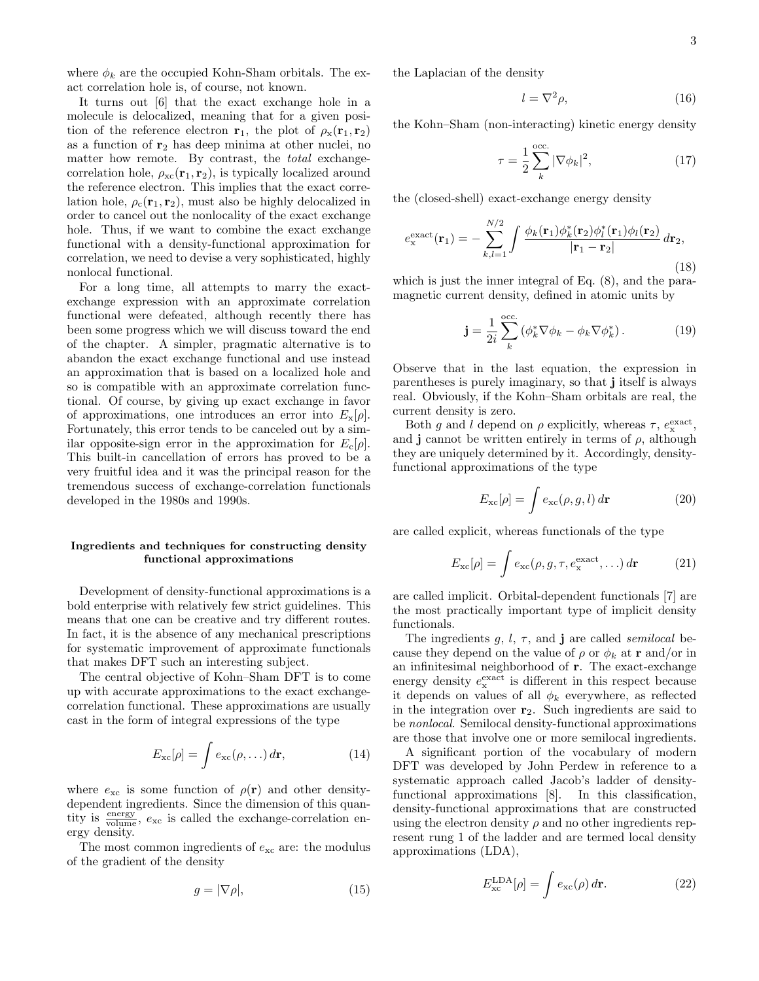where  $\phi_k$  are the occupied Kohn-Sham orbitals. The exact correlation hole is, of course, not known.

It turns out [6] that the exact exchange hole in a molecule is delocalized, meaning that for a given position of the reference electron  $\mathbf{r}_1$ , the plot of  $\rho_{\mathbf{x}}(\mathbf{r}_1, \mathbf{r}_2)$ as a function of  $r_2$  has deep minima at other nuclei, no matter how remote. By contrast, the *total* exchangecorrelation hole,  $\rho_{\rm xc}({\bf r}_1,{\bf r}_2)$ , is typically localized around the reference electron. This implies that the exact correlation hole,  $\rho_c(\mathbf{r}_1, \mathbf{r}_2)$ , must also be highly delocalized in order to cancel out the nonlocality of the exact exchange hole. Thus, if we want to combine the exact exchange functional with a density-functional approximation for correlation, we need to devise a very sophisticated, highly nonlocal functional.

For a long time, all attempts to marry the exactexchange expression with an approximate correlation functional were defeated, although recently there has been some progress which we will discuss toward the end of the chapter. A simpler, pragmatic alternative is to abandon the exact exchange functional and use instead an approximation that is based on a localized hole and so is compatible with an approximate correlation functional. Of course, by giving up exact exchange in favor of approximations, one introduces an error into  $E_{\rm x}[\rho]$ . Fortunately, this error tends to be canceled out by a similar opposite-sign error in the approximation for  $E_c[\rho]$ . This built-in cancellation of errors has proved to be a very fruitful idea and it was the principal reason for the tremendous success of exchange-correlation functionals developed in the 1980s and 1990s.

# Ingredients and techniques for constructing density functional approximations

Development of density-functional approximations is a bold enterprise with relatively few strict guidelines. This means that one can be creative and try different routes. In fact, it is the absence of any mechanical prescriptions for systematic improvement of approximate functionals that makes DFT such an interesting subject.

The central objective of Kohn–Sham DFT is to come up with accurate approximations to the exact exchangecorrelation functional. These approximations are usually cast in the form of integral expressions of the type

$$
E_{\rm xc}[\rho] = \int e_{\rm xc}(\rho,\ldots) \, d\mathbf{r},\tag{14}
$$

where  $e_{\rm xc}$  is some function of  $\rho({\bf r})$  and other densitydependent ingredients. Since the dimension of this quantity is  $\frac{\text{energy}}{\text{volume}}$ ,  $e_{\text{xc}}$  is called the exchange-correlation energy density.

The most common ingredients of  $e_{\rm xc}$  are: the modulus of the gradient of the density

$$
g = |\nabla \rho|,\tag{15}
$$

the Laplacian of the density

$$
l = \nabla^2 \rho,\tag{16}
$$

the Kohn–Sham (non-interacting) kinetic energy density

$$
\tau = \frac{1}{2} \sum_{k}^{\text{occ.}} |\nabla \phi_k|^2,\tag{17}
$$

the (closed-shell) exact-exchange energy density

$$
e_{\mathbf{x}}^{\text{exact}}(\mathbf{r}_1) = -\sum_{k,l=1}^{N/2} \int \frac{\phi_k(\mathbf{r}_1)\phi_k^*(\mathbf{r}_2)\phi_l^*(\mathbf{r}_1)\phi_l(\mathbf{r}_2)}{|\mathbf{r}_1 - \mathbf{r}_2|} d\mathbf{r}_2,
$$
\n(18)

which is just the inner integral of Eq. (8), and the paramagnetic current density, defined in atomic units by

$$
\mathbf{j} = \frac{1}{2i} \sum_{k}^{\text{occ.}} (\phi_k^* \nabla \phi_k - \phi_k \nabla \phi_k^*).
$$
 (19)

Observe that in the last equation, the expression in parentheses is purely imaginary, so that j itself is always real. Obviously, if the Kohn–Sham orbitals are real, the current density is zero.

Both g and l depend on  $\rho$  explicitly, whereas  $\tau$ ,  $e_{\mathbf{x}}^{\text{exact}}$ , and j cannot be written entirely in terms of  $\rho$ , although they are uniquely determined by it. Accordingly, densityfunctional approximations of the type

$$
E_{\rm xc}[\rho] = \int e_{\rm xc}(\rho, g, l) d\mathbf{r}
$$
 (20)

are called explicit, whereas functionals of the type

$$
E_{\rm xc}[\rho] = \int e_{\rm xc}(\rho, g, \tau, e_{\rm x}^{\rm exact}, \ldots) d\mathbf{r}
$$
 (21)

are called implicit. Orbital-dependent functionals [7] are the most practically important type of implicit density functionals.

The ingredients  $g, l, \tau$ , and j are called *semilocal* because they depend on the value of  $\rho$  or  $\phi_k$  at **r** and/or in an infinitesimal neighborhood of r. The exact-exchange energy density  $e_{\mathbf{x}}^{\text{exact}}$  is different in this respect because it depends on values of all  $\phi_k$  everywhere, as reflected in the integration over  $r_2$ . Such ingredients are said to be nonlocal. Semilocal density-functional approximations are those that involve one or more semilocal ingredients.

A significant portion of the vocabulary of modern DFT was developed by John Perdew in reference to a systematic approach called Jacob's ladder of densityfunctional approximations [8]. In this classification, density-functional approximations that are constructed using the electron density  $\rho$  and no other ingredients represent rung 1 of the ladder and are termed local density approximations (LDA),

$$
E_{\rm xc}^{\rm LDA}[\rho] = \int e_{\rm xc}(\rho) \, d\mathbf{r}.\tag{22}
$$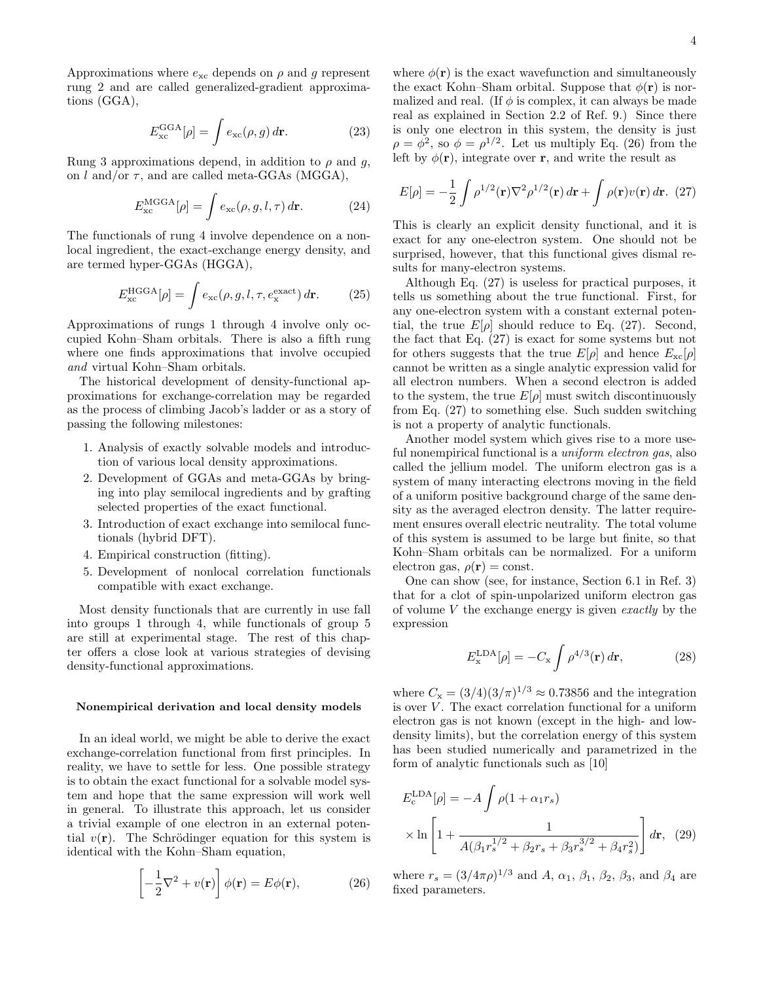Approximations where  $e_{\rm xc}$  depends on  $\rho$  and  $g$  represent rung 2 and are called generalized-gradient approximations (GGA),

$$
E_{\rm xc}^{\rm GGA}[\rho] = \int e_{\rm xc}(\rho, g) \, d\mathbf{r}.
$$
 (23)

Rung 3 approximations depend, in addition to  $\rho$  and  $g$ , on l and/or  $\tau$ , and are called meta-GGAs (MGGA),

$$
E_{\rm xc}^{\rm MGGA}[\rho] = \int e_{\rm xc}(\rho, g, l, \tau) d\mathbf{r}.
$$
 (24)

The functionals of rung 4 involve dependence on a nonlocal ingredient, the exact-exchange energy density, and are termed hyper-GGAs (HGGA),

$$
E_{\rm xc}^{\rm HGGA}[\rho] = \int e_{\rm xc}(\rho, g, l, \tau, e_{\rm x}^{\rm exact}) d\mathbf{r}.
$$
 (25)

Approximations of rungs 1 through 4 involve only occupied Kohn–Sham orbitals. There is also a fifth rung where one finds approximations that involve occupied and virtual Kohn–Sham orbitals.

The historical development of density-functional approximations for exchange-correlation may be regarded as the process of climbing Jacob's ladder or as a story of passing the following milestones:

- 1. Analysis of exactly solvable models and introduction of various local density approximations.
- 2. Development of GGAs and meta-GGAs by bringing into play semilocal ingredients and by grafting selected properties of the exact functional.
- 3. Introduction of exact exchange into semilocal functionals (hybrid DFT).
- 4. Empirical construction (fitting).
- 5. Development of nonlocal correlation functionals compatible with exact exchange.

Most density functionals that are currently in use fall into groups 1 through 4, while functionals of group 5 are still at experimental stage. The rest of this chapter offers a close look at various strategies of devising density-functional approximations.

## Nonempirical derivation and local density models

In an ideal world, we might be able to derive the exact exchange-correlation functional from first principles. In reality, we have to settle for less. One possible strategy is to obtain the exact functional for a solvable model system and hope that the same expression will work well in general. To illustrate this approach, let us consider a trivial example of one electron in an external potential  $v(\mathbf{r})$ . The Schrödinger equation for this system is identical with the Kohn–Sham equation,

$$
\left[-\frac{1}{2}\nabla^2 + v(\mathbf{r})\right]\phi(\mathbf{r}) = E\phi(\mathbf{r}),\tag{26}
$$

where  $\phi(\mathbf{r})$  is the exact wavefunction and simultaneously the exact Kohn–Sham orbital. Suppose that  $\phi(\mathbf{r})$  is normalized and real. (If  $\phi$  is complex, it can always be made real as explained in Section 2.2 of Ref. 9.) Since there is only one electron in this system, the density is just  $\rho = \phi^2$ , so  $\phi = \rho^{1/2}$ . Let us multiply Eq. (26) from the left by  $\phi(\mathbf{r})$ , integrate over **r**, and write the result as

$$
E[\rho] = -\frac{1}{2} \int \rho^{1/2}(\mathbf{r}) \nabla^2 \rho^{1/2}(\mathbf{r}) d\mathbf{r} + \int \rho(\mathbf{r}) v(\mathbf{r}) d\mathbf{r}.
$$
 (27)

This is clearly an explicit density functional, and it is exact for any one-electron system. One should not be surprised, however, that this functional gives dismal results for many-electron systems.

Although Eq. (27) is useless for practical purposes, it tells us something about the true functional. First, for any one-electron system with a constant external potential, the true  $E[\rho]$  should reduce to Eq. (27). Second, the fact that Eq. (27) is exact for some systems but not for others suggests that the true  $E[\rho]$  and hence  $E_{\rm xc}[\rho]$ cannot be written as a single analytic expression valid for all electron numbers. When a second electron is added to the system, the true  $E[\rho]$  must switch discontinuously from Eq. (27) to something else. Such sudden switching is not a property of analytic functionals.

Another model system which gives rise to a more useful nonempirical functional is a uniform electron gas, also called the jellium model. The uniform electron gas is a system of many interacting electrons moving in the field of a uniform positive background charge of the same density as the averaged electron density. The latter requirement ensures overall electric neutrality. The total volume of this system is assumed to be large but finite, so that Kohn–Sham orbitals can be normalized. For a uniform electron gas,  $\rho(\mathbf{r}) = \text{const.}$ 

One can show (see, for instance, Section 6.1 in Ref. 3) that for a clot of spin-unpolarized uniform electron gas of volume  $V$  the exchange energy is given *exactly* by the expression

$$
E_{\mathbf{x}}^{\text{LDA}}[\rho] = -C_{\mathbf{x}} \int \rho^{4/3}(\mathbf{r}) d\mathbf{r},\qquad(28)
$$

where  $C_x = (3/4)(3/\pi)^{1/3} \approx 0.73856$  and the integration is over  $V$ . The exact correlation functional for a uniform electron gas is not known (except in the high- and lowdensity limits), but the correlation energy of this system has been studied numerically and parametrized in the form of analytic functionals such as [10]

$$
E_c^{\text{LDA}}[\rho] = -A \int \rho (1 + \alpha_1 r_s)
$$
  
 
$$
\times \ln \left[ 1 + \frac{1}{A(\beta_1 r_s^{1/2} + \beta_2 r_s + \beta_3 r_s^{3/2} + \beta_4 r_s^2)} \right] d\mathbf{r}, \quad (29)
$$

where  $r_s = (3/4\pi\rho)^{1/3}$  and  $A$ ,  $\alpha_1$ ,  $\beta_1$ ,  $\beta_2$ ,  $\beta_3$ , and  $\beta_4$  are fixed parameters.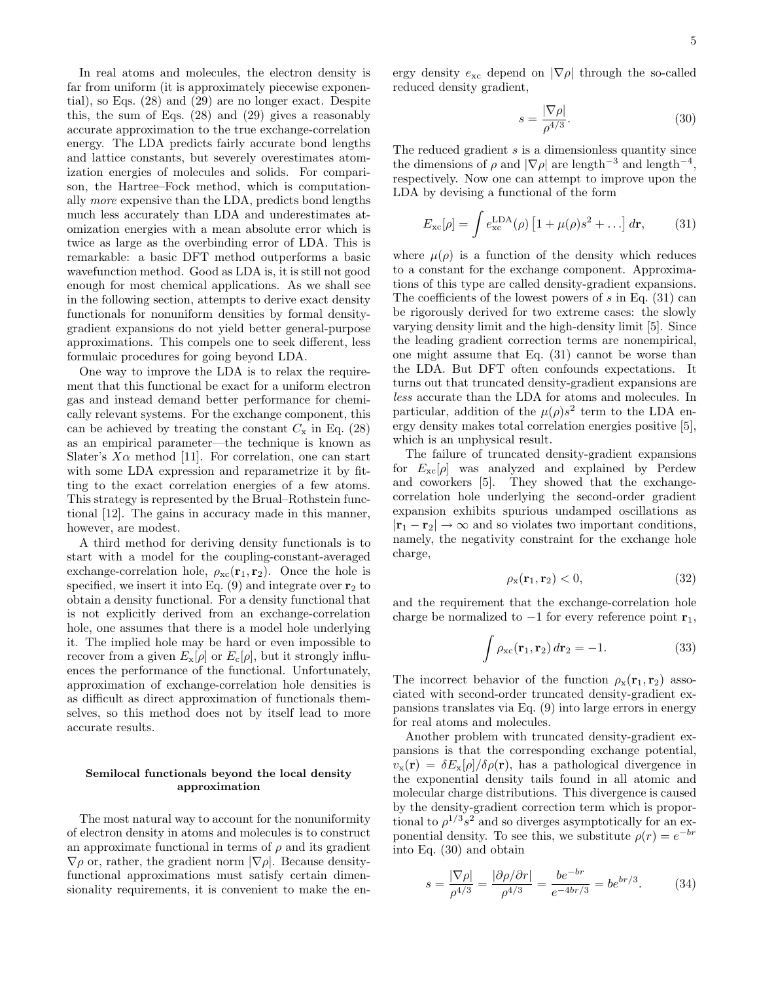In real atoms and molecules, the electron density is far from uniform (it is approximately piecewise exponential), so Eqs. (28) and (29) are no longer exact. Despite this, the sum of Eqs. (28) and (29) gives a reasonably accurate approximation to the true exchange-correlation energy. The LDA predicts fairly accurate bond lengths and lattice constants, but severely overestimates atomization energies of molecules and solids. For comparison, the Hartree–Fock method, which is computationally more expensive than the LDA, predicts bond lengths much less accurately than LDA and underestimates atomization energies with a mean absolute error which is twice as large as the overbinding error of LDA. This is remarkable: a basic DFT method outperforms a basic wavefunction method. Good as LDA is, it is still not good enough for most chemical applications. As we shall see in the following section, attempts to derive exact density functionals for nonuniform densities by formal densitygradient expansions do not yield better general-purpose approximations. This compels one to seek different, less formulaic procedures for going beyond LDA.

One way to improve the LDA is to relax the requirement that this functional be exact for a uniform electron gas and instead demand better performance for chemically relevant systems. For the exchange component, this can be achieved by treating the constant  $C_x$  in Eq. (28) as an empirical parameter—the technique is known as Slater's  $X\alpha$  method [11]. For correlation, one can start with some LDA expression and reparametrize it by fitting to the exact correlation energies of a few atoms. This strategy is represented by the Brual–Rothstein functional [12]. The gains in accuracy made in this manner, however, are modest.

A third method for deriving density functionals is to start with a model for the coupling-constant-averaged exchange-correlation hole,  $\rho_{\rm xc}({\bf r}_1,{\bf r}_2)$ . Once the hole is specified, we insert it into Eq.  $(9)$  and integrate over  $r_2$  to obtain a density functional. For a density functional that is not explicitly derived from an exchange-correlation hole, one assumes that there is a model hole underlying it. The implied hole may be hard or even impossible to recover from a given  $E_{\rm x}[\rho]$  or  $E_{\rm c}[\rho]$ , but it strongly influences the performance of the functional. Unfortunately, approximation of exchange-correlation hole densities is as difficult as direct approximation of functionals themselves, so this method does not by itself lead to more accurate results.

# Semilocal functionals beyond the local density approximation

The most natural way to account for the nonuniformity of electron density in atoms and molecules is to construct an approximate functional in terms of  $\rho$  and its gradient  $\nabla \rho$  or, rather, the gradient norm  $|\nabla \rho|$ . Because densityfunctional approximations must satisfy certain dimensionality requirements, it is convenient to make the en-

ergy density  $e_{\rm xc}$  depend on  $|\nabla \rho|$  through the so-called reduced density gradient,

$$
s = \frac{|\nabla \rho|}{\rho^{4/3}}.\tag{30}
$$

The reduced gradient  $s$  is a dimensionless quantity since the dimensions of  $\rho$  and  $|\nabla \rho|$  are length<sup>-3</sup> and length<sup>-4</sup>, respectively. Now one can attempt to improve upon the LDA by devising a functional of the form

$$
E_{\rm xc}[\rho] = \int e_{\rm xc}^{\rm LDA}(\rho) \left[ 1 + \mu(\rho) s^2 + \ldots \right] d\mathbf{r},\qquad(31)
$$

where  $\mu(\rho)$  is a function of the density which reduces to a constant for the exchange component. Approximations of this type are called density-gradient expansions. The coefficients of the lowest powers of  $s$  in Eq. (31) can be rigorously derived for two extreme cases: the slowly varying density limit and the high-density limit [5]. Since the leading gradient correction terms are nonempirical, one might assume that Eq. (31) cannot be worse than the LDA. But DFT often confounds expectations. It turns out that truncated density-gradient expansions are less accurate than the LDA for atoms and molecules. In particular, addition of the  $\mu(\rho)s^2$  term to the LDA energy density makes total correlation energies positive [5], which is an unphysical result.

The failure of truncated density-gradient expansions for  $E_{\text{xc}}[\rho]$  was analyzed and explained by Perdew and coworkers [5]. They showed that the exchangecorrelation hole underlying the second-order gradient expansion exhibits spurious undamped oscillations as  $|\mathbf{r}_1 - \mathbf{r}_2| \to \infty$  and so violates two important conditions, namely, the negativity constraint for the exchange hole charge,

$$
\rho_{\mathbf{x}}(\mathbf{r}_1, \mathbf{r}_2) < 0,\tag{32}
$$

and the requirement that the exchange-correlation hole charge be normalized to  $-1$  for every reference point  $\mathbf{r}_1$ ,

$$
\int \rho_{\rm xc}(\mathbf{r}_1, \mathbf{r}_2) d\mathbf{r}_2 = -1.
$$
 (33)

The incorrect behavior of the function  $\rho_{\mathbf{x}}(\mathbf{r}_1, \mathbf{r}_2)$  associated with second-order truncated density-gradient expansions translates via Eq. (9) into large errors in energy for real atoms and molecules.

Another problem with truncated density-gradient expansions is that the corresponding exchange potential,  $v_{\rm x}({\bf r}) = \delta E_{\rm x}[\rho]/\delta \rho({\bf r}),$  has a pathological divergence in the exponential density tails found in all atomic and molecular charge distributions. This divergence is caused by the density-gradient correction term which is proportional to  $\rho^{1/3}s^2$  and so diverges asymptotically for an exponential density. To see this, we substitute  $\rho(r) = e^{-br}$ into Eq. (30) and obtain

$$
s = \frac{|\nabla \rho|}{\rho^{4/3}} = \frac{|\partial \rho/\partial r|}{\rho^{4/3}} = \frac{be^{-br}}{e^{-4br/3}} = be^{br/3}.
$$
 (34)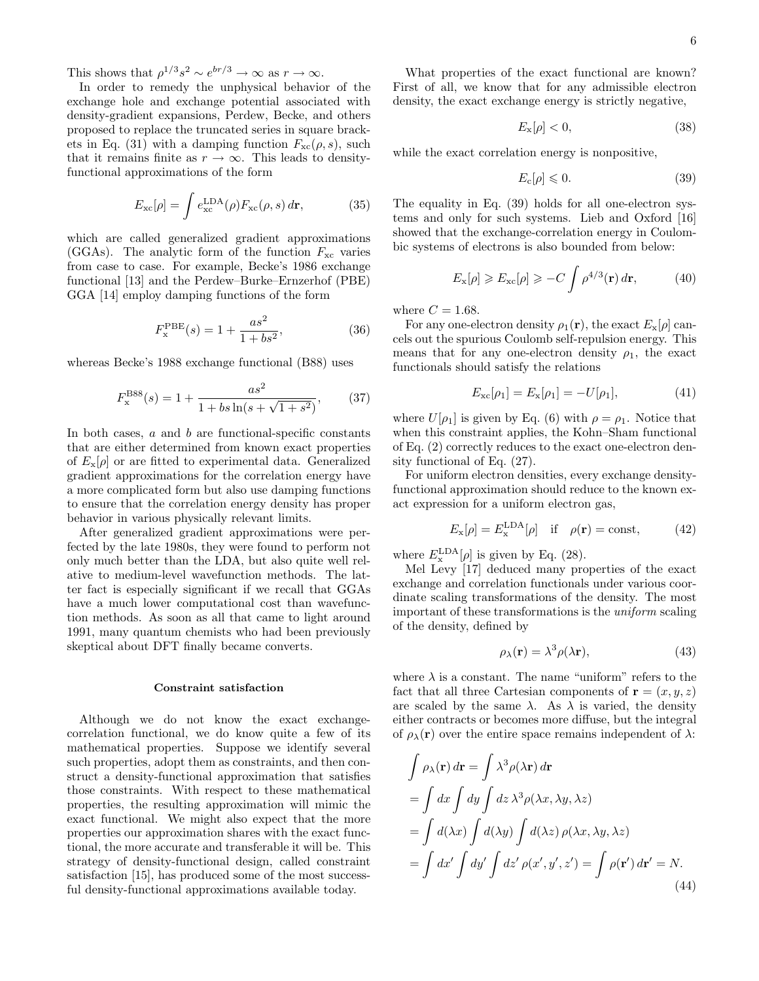This shows that  $\rho^{1/3} s^2 \sim e^{br/3} \to \infty$  as  $r \to \infty$ .

In order to remedy the unphysical behavior of the exchange hole and exchange potential associated with density-gradient expansions, Perdew, Becke, and others proposed to replace the truncated series in square brackets in Eq. (31) with a damping function  $F_{\rm xc}(\rho,s)$ , such that it remains finite as  $r \to \infty$ . This leads to densityfunctional approximations of the form

$$
E_{\rm xc}[\rho] = \int e_{\rm xc}^{\rm LDA}(\rho) F_{\rm xc}(\rho, s) \, d\mathbf{r},\tag{35}
$$

which are called generalized gradient approximations (GGAs). The analytic form of the function  $F_{\text{xc}}$  varies from case to case. For example, Becke's 1986 exchange functional [13] and the Perdew–Burke–Ernzerhof (PBE) GGA [14] employ damping functions of the form

$$
F_{\rm x}^{\rm PBE}(s) = 1 + \frac{as^2}{1 + bs^2},\tag{36}
$$

whereas Becke's 1988 exchange functional (B88) uses

$$
F_{\rm x}^{\rm B88}(s) = 1 + \frac{as^2}{1 + bs \ln(s + \sqrt{1 + s^2})},\qquad(37)
$$

In both cases,  $a$  and  $b$  are functional-specific constants that are either determined from known exact properties of  $E_{\rm x}[\rho]$  or are fitted to experimental data. Generalized gradient approximations for the correlation energy have a more complicated form but also use damping functions to ensure that the correlation energy density has proper behavior in various physically relevant limits.

After generalized gradient approximations were perfected by the late 1980s, they were found to perform not only much better than the LDA, but also quite well relative to medium-level wavefunction methods. The latter fact is especially significant if we recall that GGAs have a much lower computational cost than wavefunction methods. As soon as all that came to light around 1991, many quantum chemists who had been previously skeptical about DFT finally became converts.

#### Constraint satisfaction

Although we do not know the exact exchangecorrelation functional, we do know quite a few of its mathematical properties. Suppose we identify several such properties, adopt them as constraints, and then construct a density-functional approximation that satisfies those constraints. With respect to these mathematical properties, the resulting approximation will mimic the exact functional. We might also expect that the more properties our approximation shares with the exact functional, the more accurate and transferable it will be. This strategy of density-functional design, called constraint satisfaction [15], has produced some of the most successful density-functional approximations available today.

What properties of the exact functional are known? First of all, we know that for any admissible electron density, the exact exchange energy is strictly negative,

$$
E_{\mathbf{x}}[\rho] < 0,\tag{38}
$$

while the exact correlation energy is nonpositive,

$$
E_{\rm c}[\rho] \leqslant 0.\tag{39}
$$

The equality in Eq. (39) holds for all one-electron systems and only for such systems. Lieb and Oxford [16] showed that the exchange-correlation energy in Coulombic systems of electrons is also bounded from below:

$$
E_{\rm x}[\rho] \geqslant E_{\rm xc}[\rho] \geqslant -C \int \rho^{4/3}(\mathbf{r}) d\mathbf{r},\qquad (40)
$$

where  $C = 1.68$ .

For any one-electron density  $\rho_1(\mathbf{r})$ , the exact  $E_x[\rho]$  cancels out the spurious Coulomb self-repulsion energy. This means that for any one-electron density  $\rho_1$ , the exact functionals should satisfy the relations

$$
E_{\rm xc}[\rho_1] = E_{\rm x}[\rho_1] = -U[\rho_1],\tag{41}
$$

where  $U[\rho_1]$  is given by Eq. (6) with  $\rho = \rho_1$ . Notice that when this constraint applies, the Kohn–Sham functional of Eq. (2) correctly reduces to the exact one-electron density functional of Eq. (27).

For uniform electron densities, every exchange densityfunctional approximation should reduce to the known exact expression for a uniform electron gas,

$$
E_{\mathbf{x}}[\rho] = E_{\mathbf{x}}^{\text{LDA}}[\rho] \quad \text{if} \quad \rho(\mathbf{r}) = \text{const}, \tag{42}
$$

where  $E_{\rm x}^{\rm LDA}[\rho]$  is given by Eq. (28).

Mel Levy [17] deduced many properties of the exact exchange and correlation functionals under various coordinate scaling transformations of the density. The most important of these transformations is the uniform scaling of the density, defined by

$$
\rho_{\lambda}(\mathbf{r}) = \lambda^3 \rho(\lambda \mathbf{r}),\tag{43}
$$

where  $\lambda$  is a constant. The name "uniform" refers to the fact that all three Cartesian components of  $\mathbf{r} = (x, y, z)$ are scaled by the same  $\lambda$ . As  $\lambda$  is varied, the density either contracts or becomes more diffuse, but the integral of  $\rho_{\lambda}(\mathbf{r})$  over the entire space remains independent of  $\lambda$ :

$$
\int \rho_{\lambda}(\mathbf{r}) d\mathbf{r} = \int \lambda^{3} \rho(\lambda \mathbf{r}) d\mathbf{r}
$$
  
= 
$$
\int dx \int dy \int dz \lambda^{3} \rho(\lambda x, \lambda y, \lambda z)
$$
  
= 
$$
\int d(\lambda x) \int d(\lambda y) \int d(\lambda z) \rho(\lambda x, \lambda y, \lambda z)
$$
  
= 
$$
\int dx' \int dy' \int dz' \rho(x', y', z') = \int \rho(\mathbf{r}') d\mathbf{r}' = N.
$$
 (44)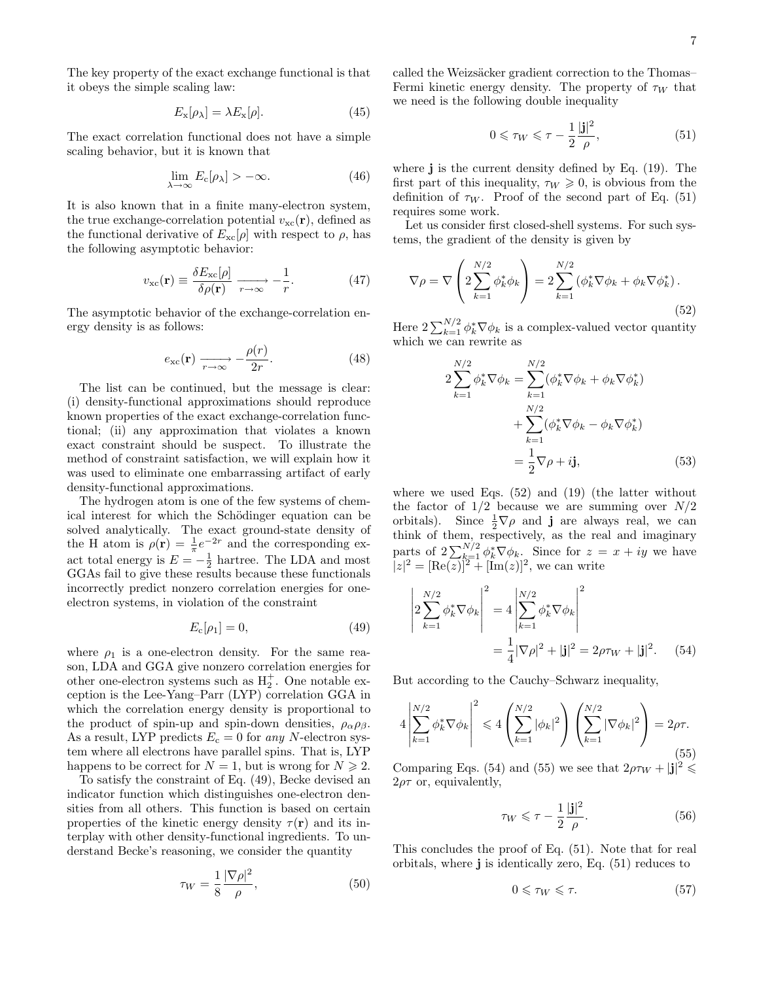The key property of the exact exchange functional is that it obeys the simple scaling law:

$$
E_{\mathbf{x}}[\rho_{\lambda}] = \lambda E_{\mathbf{x}}[\rho]. \tag{45}
$$

The exact correlation functional does not have a simple scaling behavior, but it is known that

$$
\lim_{\lambda \to \infty} E_{\rm c}[\rho_{\lambda}] > -\infty. \tag{46}
$$

It is also known that in a finite many-electron system, the true exchange-correlation potential  $v_{\rm xc}({\bf r})$ , defined as the functional derivative of  $E_{\rm xc}[\rho]$  with respect to  $\rho$ , has the following asymptotic behavior:

$$
v_{\rm xc}(\mathbf{r}) \equiv \frac{\delta E_{\rm xc}[\rho]}{\delta \rho(\mathbf{r})} \xrightarrow[r \to \infty]{} -\frac{1}{r}.
$$
 (47)

The asymptotic behavior of the exchange-correlation energy density is as follows:

$$
e_{\rm xc}(\mathbf{r}) \xrightarrow[r \to \infty]{} -\frac{\rho(r)}{2r}.
$$
 (48)

The list can be continued, but the message is clear: (i) density-functional approximations should reproduce known properties of the exact exchange-correlation functional; (ii) any approximation that violates a known exact constraint should be suspect. To illustrate the method of constraint satisfaction, we will explain how it was used to eliminate one embarrassing artifact of early density-functional approximations.

The hydrogen atom is one of the few systems of chemical interest for which the Schödinger equation can be solved analytically. The exact ground-state density of the H atom is  $\rho(\mathbf{r}) = \frac{1}{\pi} e^{-2r}$  and the corresponding exact total energy is  $E = -\frac{1}{2}$  hartree. The LDA and most GGAs fail to give these results because these functionals incorrectly predict nonzero correlation energies for oneelectron systems, in violation of the constraint

$$
E_{\rm c}[\rho_1] = 0,\t\t(49)
$$

where  $\rho_1$  is a one-electron density. For the same reason, LDA and GGA give nonzero correlation energies for other one-electron systems such as  $H_2^+$ . One notable exception is the Lee-Yang–Parr (LYP) correlation GGA in which the correlation energy density is proportional to the product of spin-up and spin-down densities,  $\rho_{\alpha}\rho_{\beta}$ . As a result, LYP predicts  $E_c = 0$  for any N-electron system where all electrons have parallel spins. That is, LYP happens to be correct for  $N = 1$ , but is wrong for  $N \ge 2$ .

To satisfy the constraint of Eq. (49), Becke devised an indicator function which distinguishes one-electron densities from all others. This function is based on certain properties of the kinetic energy density  $\tau(\mathbf{r})$  and its interplay with other density-functional ingredients. To understand Becke's reasoning, we consider the quantity

$$
\tau_W = \frac{1}{8} \frac{|\nabla \rho|^2}{\rho},\tag{50}
$$

called the Weizsäcker gradient correction to the Thomas– Fermi kinetic energy density. The property of  $\tau_W$  that we need is the following double inequality

$$
0 \leqslant \tau_W \leqslant \tau - \frac{1}{2} \frac{|\mathbf{j}|^2}{\rho},\tag{51}
$$

where  $j$  is the current density defined by Eq.  $(19)$ . The first part of this inequality,  $\tau_W \geq 0$ , is obvious from the definition of  $\tau_W$ . Proof of the second part of Eq. (51) requires some work.

Let us consider first closed-shell systems. For such systems, the gradient of the density is given by

$$
\nabla \rho = \nabla \left( 2 \sum_{k=1}^{N/2} \phi_k^* \phi_k \right) = 2 \sum_{k=1}^{N/2} \left( \phi_k^* \nabla \phi_k + \phi_k \nabla \phi_k^* \right).
$$
\n(52)

Here  $2\sum_{k=1}^{N/2} \phi_k^* \nabla \phi_k$  is a complex-valued vector quantity which we can rewrite as

$$
2\sum_{k=1}^{N/2} \phi_k^* \nabla \phi_k = \sum_{k=1}^{N/2} (\phi_k^* \nabla \phi_k + \phi_k \nabla \phi_k^*)
$$
  
+ 
$$
\sum_{k=1}^{N/2} (\phi_k^* \nabla \phi_k - \phi_k \nabla \phi_k^*)
$$
  
= 
$$
\frac{1}{2} \nabla \rho + i\mathbf{j}, \qquad (53)
$$

where we used Eqs. (52) and (19) (the latter without the factor of  $1/2$  because we are summing over  $N/2$ orbitals). Since  $\frac{1}{2}\nabla\rho$  and **j** are always real, we can think of them, respectively, as the real and imaginary parts of  $2\sum_{k=1}^{N/2}\phi_k \nabla \phi_k$ . Since for  $z = x + iy$  we have  $|z|^2 = [\text{Re}(z)]^2 + [\text{Im}(z)]^2$ , we can write

$$
\begin{aligned} \left| 2 \sum_{k=1}^{N/2} \phi_k^* \nabla \phi_k \right|^2 &= 4 \left| \sum_{k=1}^{N/2} \phi_k^* \nabla \phi_k \right|^2 \\ &= \frac{1}{4} |\nabla \rho|^2 + |\mathbf{j}|^2 = 2\rho \tau_W + |\mathbf{j}|^2. \end{aligned} \tag{54}
$$

But according to the Cauchy–Schwarz inequality,

$$
4\left|\sum_{k=1}^{N/2} \phi_k^* \nabla \phi_k\right|^2 \le 4\left(\sum_{k=1}^{N/2} |\phi_k|^2\right) \left(\sum_{k=1}^{N/2} |\nabla \phi_k|^2\right) = 2\rho\tau.
$$
\n(55)

Comparing Eqs. (54) and (55) we see that  $2\rho\tau_W + |\mathbf{j}|^2 \leq$  $2\rho\tau$  or, equivalently,

$$
\tau_W \leqslant \tau - \frac{1}{2} \frac{|\mathbf{j}|^2}{\rho}.\tag{56}
$$

This concludes the proof of Eq. (51). Note that for real orbitals, where j is identically zero, Eq. (51) reduces to

$$
0 \leqslant \tau_W \leqslant \tau. \tag{57}
$$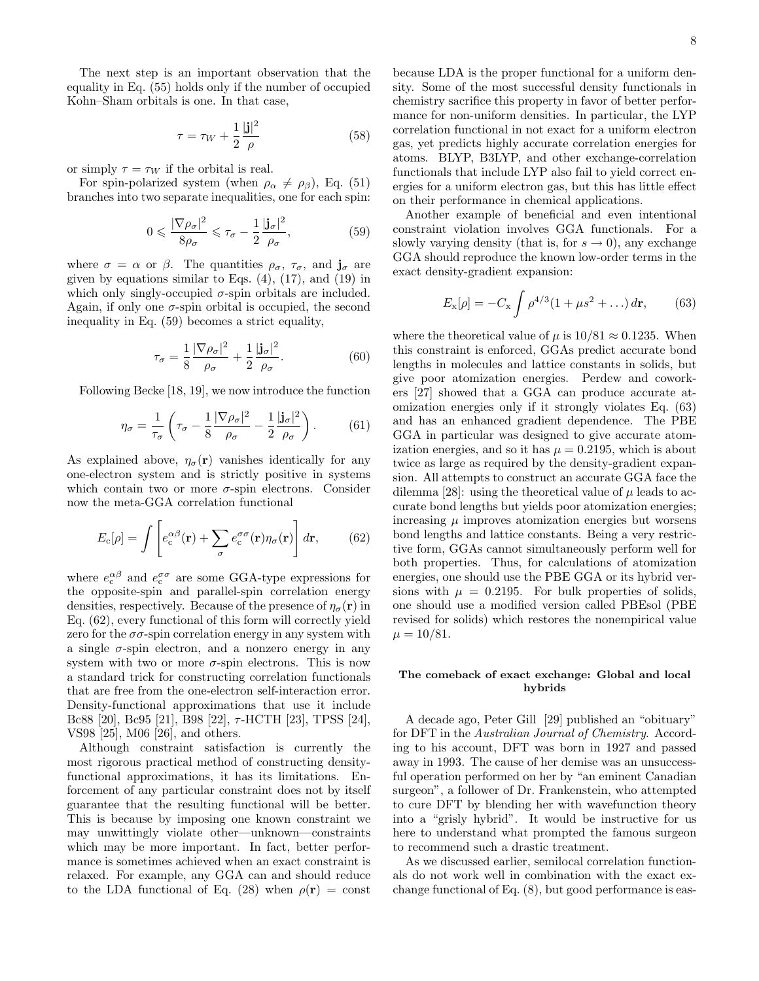The next step is an important observation that the equality in Eq. (55) holds only if the number of occupied Kohn–Sham orbitals is one. In that case,

$$
\tau = \tau_W + \frac{1}{2} \frac{|\mathbf{j}|^2}{\rho} \tag{58}
$$

or simply  $\tau = \tau_W$  if the orbital is real.

For spin-polarized system (when  $\rho_{\alpha} \neq \rho_{\beta}$ ), Eq. (51) branches into two separate inequalities, one for each spin:

$$
0 \leqslant \frac{|\nabla \rho_{\sigma}|^2}{8\rho_{\sigma}} \leqslant \tau_{\sigma} - \frac{1}{2} \frac{|\mathbf{j}_{\sigma}|^2}{\rho_{\sigma}},\tag{59}
$$

where  $\sigma = \alpha$  or  $\beta$ . The quantities  $\rho_{\sigma}$ ,  $\tau_{\sigma}$ , and  $\mathbf{j}_{\sigma}$  are given by equations similar to Eqs.  $(4)$ ,  $(17)$ , and  $(19)$  in which only singly-occupied  $\sigma$ -spin orbitals are included. Again, if only one  $\sigma$ -spin orbital is occupied, the second inequality in Eq. (59) becomes a strict equality,

$$
\tau_{\sigma} = \frac{1}{8} \frac{|\nabla \rho_{\sigma}|^2}{\rho_{\sigma}} + \frac{1}{2} \frac{|\mathbf{j}_{\sigma}|^2}{\rho_{\sigma}}.
$$
 (60)

Following Becke [18, 19], we now introduce the function

$$
\eta_{\sigma} = \frac{1}{\tau_{\sigma}} \left( \tau_{\sigma} - \frac{1}{8} \frac{|\nabla \rho_{\sigma}|^2}{\rho_{\sigma}} - \frac{1}{2} \frac{|\mathbf{j}_{\sigma}|^2}{\rho_{\sigma}} \right). \tag{61}
$$

As explained above,  $\eta_{\sigma}(\mathbf{r})$  vanishes identically for any one-electron system and is strictly positive in systems which contain two or more  $\sigma$ -spin electrons. Consider now the meta-GGA correlation functional

$$
E_{\rm c}[\rho] = \int \left[ e_{\rm c}^{\alpha\beta}(\mathbf{r}) + \sum_{\sigma} e_{\rm c}^{\sigma\sigma}(\mathbf{r}) \eta_{\sigma}(\mathbf{r}) \right] d\mathbf{r}, \qquad (62)
$$

where  $e_c^{\alpha\beta}$  and  $e_c^{\sigma\sigma}$  are some GGA-type expressions for the opposite-spin and parallel-spin correlation energy densities, respectively. Because of the presence of  $\eta_{\sigma}(\mathbf{r})$  in Eq. (62), every functional of this form will correctly yield zero for the  $\sigma\sigma$ -spin correlation energy in any system with a single  $\sigma$ -spin electron, and a nonzero energy in any system with two or more  $\sigma$ -spin electrons. This is now a standard trick for constructing correlation functionals that are free from the one-electron self-interaction error. Density-functional approximations that use it include Bc88 [20], Bc95 [21], B98 [22],  $\tau$ -HCTH [23], TPSS [24], VS98 [25], M06 [26], and others.

Although constraint satisfaction is currently the most rigorous practical method of constructing densityfunctional approximations, it has its limitations. Enforcement of any particular constraint does not by itself guarantee that the resulting functional will be better. This is because by imposing one known constraint we may unwittingly violate other—unknown—constraints which may be more important. In fact, better performance is sometimes achieved when an exact constraint is relaxed. For example, any GGA can and should reduce to the LDA functional of Eq. (28) when  $\rho(\mathbf{r}) = \text{const}$ 

because LDA is the proper functional for a uniform density. Some of the most successful density functionals in chemistry sacrifice this property in favor of better performance for non-uniform densities. In particular, the LYP correlation functional in not exact for a uniform electron gas, yet predicts highly accurate correlation energies for atoms. BLYP, B3LYP, and other exchange-correlation functionals that include LYP also fail to yield correct energies for a uniform electron gas, but this has little effect on their performance in chemical applications.

Another example of beneficial and even intentional constraint violation involves GGA functionals. For a slowly varying density (that is, for  $s \to 0$ ), any exchange GGA should reproduce the known low-order terms in the exact density-gradient expansion:

$$
E_{\rm x}[\rho] = -C_{\rm x} \int \rho^{4/3} (1 + \mu s^2 + \ldots) \, d\mathbf{r}, \qquad (63)
$$

where the theoretical value of  $\mu$  is 10/81  $\approx$  0.1235. When this constraint is enforced, GGAs predict accurate bond lengths in molecules and lattice constants in solids, but give poor atomization energies. Perdew and coworkers [27] showed that a GGA can produce accurate atomization energies only if it strongly violates Eq. (63) and has an enhanced gradient dependence. The PBE GGA in particular was designed to give accurate atomization energies, and so it has  $\mu = 0.2195$ , which is about twice as large as required by the density-gradient expansion. All attempts to construct an accurate GGA face the dilemma [28]: using the theoretical value of  $\mu$  leads to accurate bond lengths but yields poor atomization energies; increasing  $\mu$  improves atomization energies but worsens bond lengths and lattice constants. Being a very restrictive form, GGAs cannot simultaneously perform well for both properties. Thus, for calculations of atomization energies, one should use the PBE GGA or its hybrid versions with  $\mu = 0.2195$ . For bulk properties of solids, one should use a modified version called PBEsol (PBE revised for solids) which restores the nonempirical value  $\mu = 10/81.$ 

### The comeback of exact exchange: Global and local hybrids

A decade ago, Peter Gill [29] published an "obituary" for DFT in the Australian Journal of Chemistry. According to his account, DFT was born in 1927 and passed away in 1993. The cause of her demise was an unsuccessful operation performed on her by "an eminent Canadian surgeon", a follower of Dr. Frankenstein, who attempted to cure DFT by blending her with wavefunction theory into a "grisly hybrid". It would be instructive for us here to understand what prompted the famous surgeon to recommend such a drastic treatment.

As we discussed earlier, semilocal correlation functionals do not work well in combination with the exact exchange functional of Eq. (8), but good performance is eas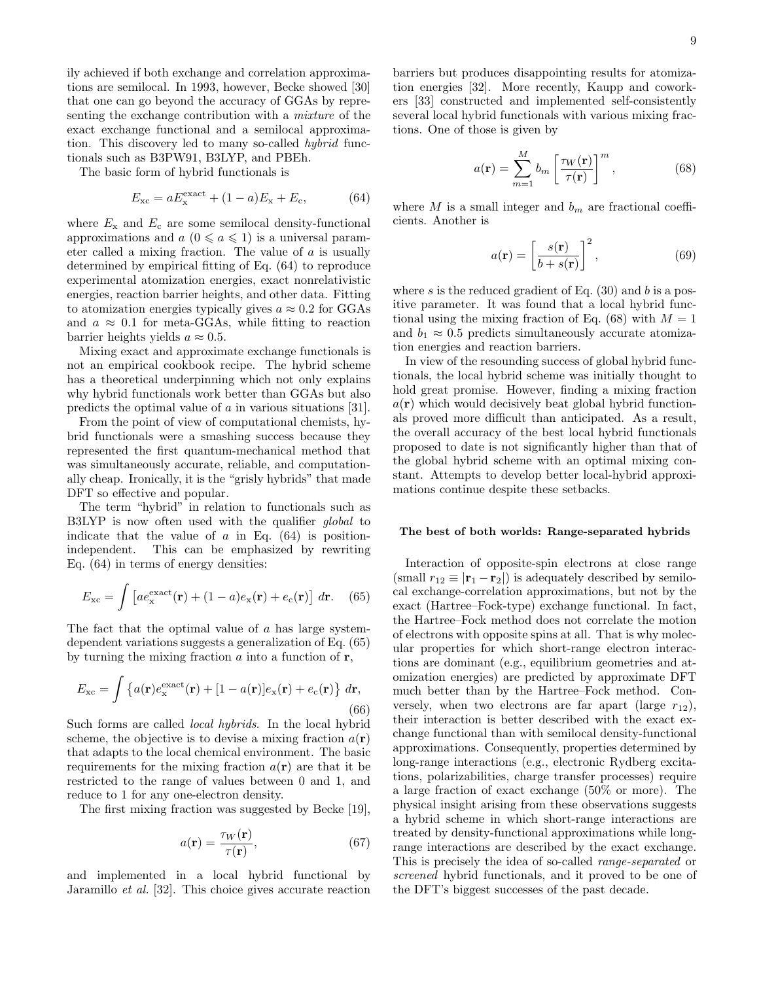ily achieved if both exchange and correlation approximations are semilocal. In 1993, however, Becke showed [30] that one can go beyond the accuracy of GGAs by representing the exchange contribution with a mixture of the exact exchange functional and a semilocal approximation. This discovery led to many so-called hybrid functionals such as B3PW91, B3LYP, and PBEh.

The basic form of hybrid functionals is

$$
E_{\rm xc} = aE_{\rm x}^{\rm exact} + (1 - a)E_{\rm x} + E_{\rm c},\tag{64}
$$

where  $E_x$  and  $E_c$  are some semilocal density-functional approximations and  $a (0 \le a \le 1)$  is a universal parameter called a mixing fraction. The value of  $a$  is usually determined by empirical fitting of Eq. (64) to reproduce experimental atomization energies, exact nonrelativistic energies, reaction barrier heights, and other data. Fitting to atomization energies typically gives  $a \approx 0.2$  for GGAs and  $a \approx 0.1$  for meta-GGAs, while fitting to reaction barrier heights yields  $a \approx 0.5$ .

Mixing exact and approximate exchange functionals is not an empirical cookbook recipe. The hybrid scheme has a theoretical underpinning which not only explains why hybrid functionals work better than GGAs but also predicts the optimal value of a in various situations [31].

From the point of view of computational chemists, hybrid functionals were a smashing success because they represented the first quantum-mechanical method that was simultaneously accurate, reliable, and computationally cheap. Ironically, it is the "grisly hybrids" that made DFT so effective and popular.

The term "hybrid" in relation to functionals such as B3LYP is now often used with the qualifier *global* to indicate that the value of  $\alpha$  in Eq. (64) is positionindependent. This can be emphasized by rewriting Eq. (64) in terms of energy densities:

$$
E_{\rm xc} = \int \left[ a e_{\rm x}^{\rm exact}(\mathbf{r}) + (1 - a) e_{\rm x}(\mathbf{r}) + e_{\rm c}(\mathbf{r}) \right] d\mathbf{r}.
$$
 (65)

The fact that the optimal value of a has large systemdependent variations suggests a generalization of Eq. (65) by turning the mixing fraction  $\alpha$  into a function of  $\mathbf{r}$ ,

$$
E_{\rm xc} = \int \left\{ a(\mathbf{r}) e_{\rm x}^{\rm exact}(\mathbf{r}) + [1 - a(\mathbf{r})] e_{\rm x}(\mathbf{r}) + e_{\rm c}(\mathbf{r}) \right\} d\mathbf{r},\tag{66}
$$

Such forms are called local hybrids. In the local hybrid scheme, the objective is to devise a mixing fraction  $a(\mathbf{r})$ that adapts to the local chemical environment. The basic requirements for the mixing fraction  $a(\mathbf{r})$  are that it be restricted to the range of values between 0 and 1, and reduce to 1 for any one-electron density.

The first mixing fraction was suggested by Becke [19],

$$
a(\mathbf{r}) = \frac{\tau_W(\mathbf{r})}{\tau(\mathbf{r})},\tag{67}
$$

and implemented in a local hybrid functional by Jaramillo et al. [32]. This choice gives accurate reaction barriers but produces disappointing results for atomization energies [32]. More recently, Kaupp and coworkers [33] constructed and implemented self-consistently several local hybrid functionals with various mixing fractions. One of those is given by

$$
a(\mathbf{r}) = \sum_{m=1}^{M} b_m \left[ \frac{\tau_W(\mathbf{r})}{\tau(\mathbf{r})} \right]^m, \tag{68}
$$

where M is a small integer and  $b_m$  are fractional coefficients. Another is

$$
a(\mathbf{r}) = \left[\frac{s(\mathbf{r})}{b + s(\mathbf{r})}\right]^2, \tag{69}
$$

where s is the reduced gradient of Eq.  $(30)$  and b is a positive parameter. It was found that a local hybrid functional using the mixing fraction of Eq. (68) with  $M = 1$ and  $b_1 \approx 0.5$  predicts simultaneously accurate atomization energies and reaction barriers.

In view of the resounding success of global hybrid functionals, the local hybrid scheme was initially thought to hold great promise. However, finding a mixing fraction  $a(\mathbf{r})$  which would decisively beat global hybrid functionals proved more difficult than anticipated. As a result, the overall accuracy of the best local hybrid functionals proposed to date is not significantly higher than that of the global hybrid scheme with an optimal mixing constant. Attempts to develop better local-hybrid approximations continue despite these setbacks.

#### The best of both worlds: Range-separated hybrids

Interaction of opposite-spin electrons at close range (small  $r_{12} \equiv |\mathbf{r}_1 - \mathbf{r}_2|$ ) is adequately described by semilocal exchange-correlation approximations, but not by the exact (Hartree–Fock-type) exchange functional. In fact, the Hartree–Fock method does not correlate the motion of electrons with opposite spins at all. That is why molecular properties for which short-range electron interactions are dominant (e.g., equilibrium geometries and atomization energies) are predicted by approximate DFT much better than by the Hartree–Fock method. Conversely, when two electrons are far apart (large  $r_{12}$ ), their interaction is better described with the exact exchange functional than with semilocal density-functional approximations. Consequently, properties determined by long-range interactions (e.g., electronic Rydberg excitations, polarizabilities, charge transfer processes) require a large fraction of exact exchange (50% or more). The physical insight arising from these observations suggests a hybrid scheme in which short-range interactions are treated by density-functional approximations while longrange interactions are described by the exact exchange. This is precisely the idea of so-called range-separated or screened hybrid functionals, and it proved to be one of the DFT's biggest successes of the past decade.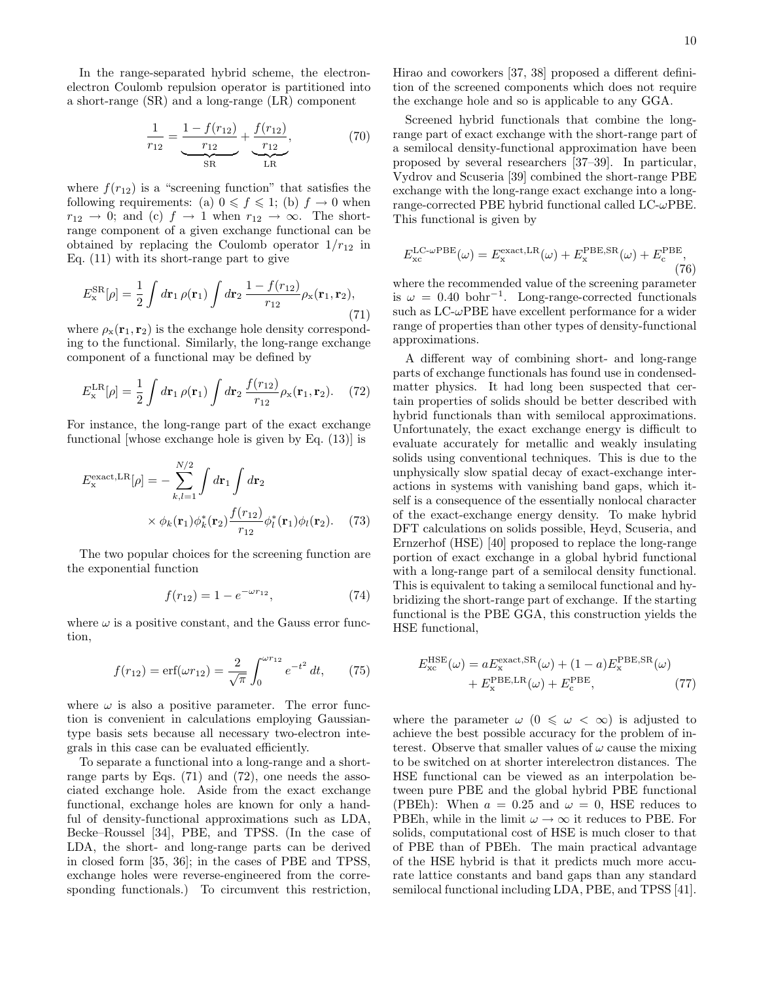In the range-separated hybrid scheme, the electronelectron Coulomb repulsion operator is partitioned into a short-range (SR) and a long-range (LR) component

$$
\frac{1}{r_{12}} = \underbrace{\frac{1 - f(r_{12})}{r_{12}}}_{SR} + \underbrace{\frac{f(r_{12})}{r_{12}}}_{LR},
$$
(70)

where  $f(r_{12})$  is a "screening function" that satisfies the following requirements: (a)  $0 \le f \le 1$ ; (b)  $f \to 0$  when  $r_{12} \rightarrow 0$ ; and (c)  $f \rightarrow 1$  when  $r_{12} \rightarrow \infty$ . The shortrange component of a given exchange functional can be obtained by replacing the Coulomb operator  $1/r_{12}$  in Eq. (11) with its short-range part to give

$$
E_{\mathbf{x}}^{\text{SR}}[\rho] = \frac{1}{2} \int d\mathbf{r}_1 \, \rho(\mathbf{r}_1) \int d\mathbf{r}_2 \, \frac{1 - f(r_{12})}{r_{12}} \rho_{\mathbf{x}}(\mathbf{r}_1, \mathbf{r}_2),\tag{71}
$$

where  $\rho_{\mathbf{x}}(\mathbf{r}_1, \mathbf{r}_2)$  is the exchange hole density corresponding to the functional. Similarly, the long-range exchange component of a functional may be defined by

$$
E_{\rm x}^{\rm LR}[\rho] = \frac{1}{2} \int d{\bf r}_1 \,\rho({\bf r}_1) \int d{\bf r}_2 \, \frac{f(r_{12})}{r_{12}} \rho_{\rm x}({\bf r}_1, {\bf r}_2). \tag{72}
$$

For instance, the long-range part of the exact exchange functional [whose exchange hole is given by Eq. (13)] is

$$
E_{\mathbf{x}}^{\text{exact},LR}[\rho] = -\sum_{k,l=1}^{N/2} \int d\mathbf{r}_1 \int d\mathbf{r}_2
$$

$$
\times \phi_k(\mathbf{r}_1) \phi_k^*(\mathbf{r}_2) \frac{f(r_{12})}{r_{12}} \phi_l^*(\mathbf{r}_1) \phi_l(\mathbf{r}_2). \tag{73}
$$

The two popular choices for the screening function are the exponential function

$$
f(r_{12}) = 1 - e^{-\omega r_{12}},\tag{74}
$$

where  $\omega$  is a positive constant, and the Gauss error function,

$$
f(r_{12}) = \text{erf}(\omega r_{12}) = \frac{2}{\sqrt{\pi}} \int_0^{\omega r_{12}} e^{-t^2} dt, \qquad (75)
$$

where  $\omega$  is also a positive parameter. The error function is convenient in calculations employing Gaussiantype basis sets because all necessary two-electron integrals in this case can be evaluated efficiently.

To separate a functional into a long-range and a shortrange parts by Eqs. (71) and (72), one needs the associated exchange hole. Aside from the exact exchange functional, exchange holes are known for only a handful of density-functional approximations such as LDA, Becke–Roussel [34], PBE, and TPSS. (In the case of LDA, the short- and long-range parts can be derived in closed form [35, 36]; in the cases of PBE and TPSS, exchange holes were reverse-engineered from the corresponding functionals.) To circumvent this restriction,

Hirao and coworkers [37, 38] proposed a different definition of the screened components which does not require the exchange hole and so is applicable to any GGA.

Screened hybrid functionals that combine the longrange part of exact exchange with the short-range part of a semilocal density-functional approximation have been proposed by several researchers [37–39]. In particular, Vydrov and Scuseria [39] combined the short-range PBE exchange with the long-range exact exchange into a longrange-corrected PBE hybrid functional called  $LC$ - $\omega$ PBE. This functional is given by

$$
E_{\text{xc}}^{\text{LC}\cdots\text{PBE}}(\omega) = E_{\text{x}}^{\text{exact},\text{LR}}(\omega) + E_{\text{x}}^{\text{PBE},\text{SR}}(\omega) + E_{\text{c}}^{\text{PBE}},
$$
\n(76)

where the recommended value of the screening parameter is  $\omega = 0.40$  bohr<sup>-1</sup>. Long-range-corrected functionals such as  $LC\text{-}\omega PBE$  have excellent performance for a wider range of properties than other types of density-functional approximations.

A different way of combining short- and long-range parts of exchange functionals has found use in condensedmatter physics. It had long been suspected that certain properties of solids should be better described with hybrid functionals than with semilocal approximations. Unfortunately, the exact exchange energy is difficult to evaluate accurately for metallic and weakly insulating solids using conventional techniques. This is due to the unphysically slow spatial decay of exact-exchange interactions in systems with vanishing band gaps, which itself is a consequence of the essentially nonlocal character of the exact-exchange energy density. To make hybrid DFT calculations on solids possible, Heyd, Scuseria, and Ernzerhof (HSE) [40] proposed to replace the long-range portion of exact exchange in a global hybrid functional with a long-range part of a semilocal density functional. This is equivalent to taking a semilocal functional and hybridizing the short-range part of exchange. If the starting functional is the PBE GGA, this construction yields the HSE functional,

$$
E_{\text{xc}}^{\text{HSE}}(\omega) = aE_{\text{x}}^{\text{exact,SR}}(\omega) + (1 - a)E_{\text{x}}^{\text{PBE,SR}}(\omega) + E_{\text{x}}^{\text{PBE,LR}}(\omega) + E_{\text{c}}^{\text{PBE}}.
$$
\n(77)

where the parameter  $\omega$  (0  $\leq \omega < \infty$ ) is adjusted to achieve the best possible accuracy for the problem of interest. Observe that smaller values of  $\omega$  cause the mixing to be switched on at shorter interelectron distances. The HSE functional can be viewed as an interpolation between pure PBE and the global hybrid PBE functional (PBEh): When  $a = 0.25$  and  $\omega = 0$ , HSE reduces to PBEh, while in the limit  $\omega \to \infty$  it reduces to PBE. For solids, computational cost of HSE is much closer to that of PBE than of PBEh. The main practical advantage of the HSE hybrid is that it predicts much more accurate lattice constants and band gaps than any standard semilocal functional including LDA, PBE, and TPSS [41].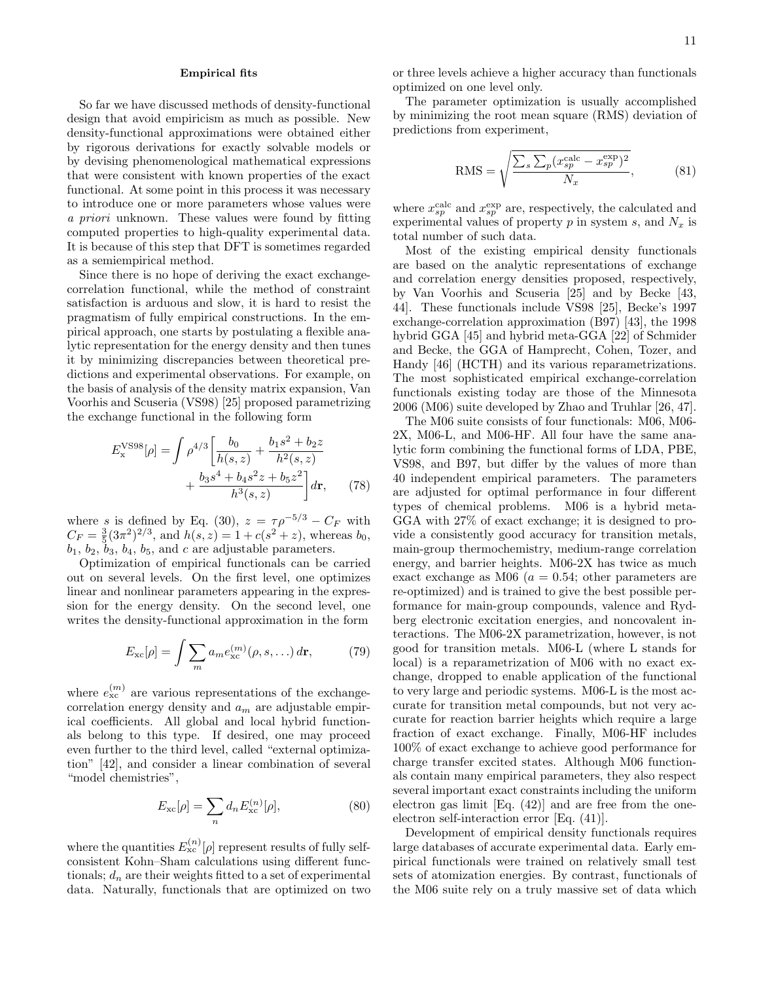### Empirical fits

So far we have discussed methods of density-functional design that avoid empiricism as much as possible. New density-functional approximations were obtained either by rigorous derivations for exactly solvable models or by devising phenomenological mathematical expressions that were consistent with known properties of the exact functional. At some point in this process it was necessary to introduce one or more parameters whose values were a priori unknown. These values were found by fitting computed properties to high-quality experimental data. It is because of this step that DFT is sometimes regarded as a semiempirical method.

Since there is no hope of deriving the exact exchangecorrelation functional, while the method of constraint satisfaction is arduous and slow, it is hard to resist the pragmatism of fully empirical constructions. In the empirical approach, one starts by postulating a flexible analytic representation for the energy density and then tunes it by minimizing discrepancies between theoretical predictions and experimental observations. For example, on the basis of analysis of the density matrix expansion, Van Voorhis and Scuseria (VS98) [25] proposed parametrizing the exchange functional in the following form

$$
E_{\mathbf{x}}^{\text{VSS98}}[\rho] = \int \rho^{4/3} \left[ \frac{b_0}{h(s, z)} + \frac{b_1 s^2 + b_2 z}{h^2(s, z)} + \frac{b_3 s^4 + b_4 s^2 z + b_5 z^2}{h^3(s, z)} \right] d\mathbf{r}, \qquad (78)
$$

where s is defined by Eq. (30),  $z = \tau \rho^{-5/3} - C_F$  with  $C_F = \frac{3}{5}(3\pi^2)^{2/3}$ , and  $h(s, z) = 1 + c(s^2 + z)$ , whereas  $b_0$ ,  $b_1, b_2, b_3, b_4, b_5$ , and c are adjustable parameters.

Optimization of empirical functionals can be carried out on several levels. On the first level, one optimizes linear and nonlinear parameters appearing in the expression for the energy density. On the second level, one writes the density-functional approximation in the form

$$
E_{\rm xc}[\rho] = \int \sum_m a_m e_{\rm xc}^{(m)}(\rho, s, \ldots) d\mathbf{r},\qquad (79)
$$

where  $e_{\text{xc}}^{(m)}$  are various representations of the exchangecorrelation energy density and  $a_m$  are adjustable empirical coefficients. All global and local hybrid functionals belong to this type. If desired, one may proceed even further to the third level, called "external optimization" [42], and consider a linear combination of several "model chemistries",

$$
E_{\rm xc}[\rho] = \sum_n d_n E_{\rm xc}^{(n)}[\rho],\tag{80}
$$

where the quantities  $E_{\text{xc}}^{(n)}[\rho]$  represent results of fully selfconsistent Kohn–Sham calculations using different functionals;  $d_n$  are their weights fitted to a set of experimental data. Naturally, functionals that are optimized on two or three levels achieve a higher accuracy than functionals optimized on one level only.

The parameter optimization is usually accomplished by minimizing the root mean square (RMS) deviation of predictions from experiment,

$$
\text{RMS} = \sqrt{\frac{\sum_{s} \sum_{p} (x_{sp}^{\text{calc}} - x_{sp}^{\text{exp}})^2}{N_x}},\tag{81}
$$

where  $x_{sp}^{\text{calc}}$  and  $x_{sp}^{\text{exp}}$  are, respectively, the calculated and experimental values of property  $p$  in system  $s$ , and  $N_x$  is total number of such data.

Most of the existing empirical density functionals are based on the analytic representations of exchange and correlation energy densities proposed, respectively, by Van Voorhis and Scuseria [25] and by Becke [43, 44]. These functionals include VS98 [25], Becke's 1997 exchange-correlation approximation (B97) [43], the 1998 hybrid GGA [45] and hybrid meta-GGA [22] of Schmider and Becke, the GGA of Hamprecht, Cohen, Tozer, and Handy [46] (HCTH) and its various reparametrizations. The most sophisticated empirical exchange-correlation functionals existing today are those of the Minnesota 2006 (M06) suite developed by Zhao and Truhlar [26, 47].

The M06 suite consists of four functionals: M06, M06- 2X, M06-L, and M06-HF. All four have the same analytic form combining the functional forms of LDA, PBE, VS98, and B97, but differ by the values of more than 40 independent empirical parameters. The parameters are adjusted for optimal performance in four different types of chemical problems. M06 is a hybrid meta-GGA with 27% of exact exchange; it is designed to provide a consistently good accuracy for transition metals, main-group thermochemistry, medium-range correlation energy, and barrier heights. M06-2X has twice as much exact exchange as M06 ( $a = 0.54$ ; other parameters are re-optimized) and is trained to give the best possible performance for main-group compounds, valence and Rydberg electronic excitation energies, and noncovalent interactions. The M06-2X parametrization, however, is not good for transition metals. M06-L (where L stands for local) is a reparametrization of M06 with no exact exchange, dropped to enable application of the functional to very large and periodic systems. M06-L is the most accurate for transition metal compounds, but not very accurate for reaction barrier heights which require a large fraction of exact exchange. Finally, M06-HF includes 100% of exact exchange to achieve good performance for charge transfer excited states. Although M06 functionals contain many empirical parameters, they also respect several important exact constraints including the uniform electron gas limit [Eq. (42)] and are free from the oneelectron self-interaction error [Eq. (41)].

Development of empirical density functionals requires large databases of accurate experimental data. Early empirical functionals were trained on relatively small test sets of atomization energies. By contrast, functionals of the M06 suite rely on a truly massive set of data which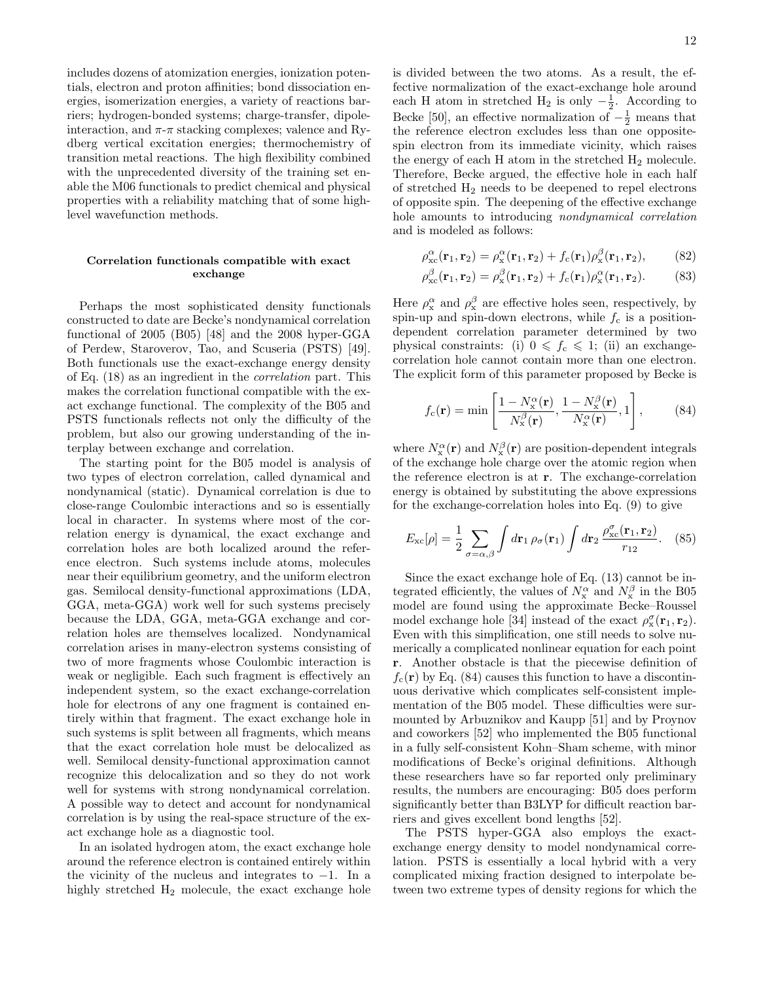includes dozens of atomization energies, ionization potentials, electron and proton affinities; bond dissociation energies, isomerization energies, a variety of reactions barriers; hydrogen-bonded systems; charge-transfer, dipoleinteraction, and  $\pi$ - $\pi$  stacking complexes; valence and Rydberg vertical excitation energies; thermochemistry of transition metal reactions. The high flexibility combined with the unprecedented diversity of the training set enable the M06 functionals to predict chemical and physical properties with a reliability matching that of some highlevel wavefunction methods.

# Correlation functionals compatible with exact exchange

Perhaps the most sophisticated density functionals constructed to date are Becke's nondynamical correlation functional of 2005 (B05) [48] and the 2008 hyper-GGA of Perdew, Staroverov, Tao, and Scuseria (PSTS) [49]. Both functionals use the exact-exchange energy density of Eq. (18) as an ingredient in the correlation part. This makes the correlation functional compatible with the exact exchange functional. The complexity of the B05 and PSTS functionals reflects not only the difficulty of the problem, but also our growing understanding of the interplay between exchange and correlation.

The starting point for the B05 model is analysis of two types of electron correlation, called dynamical and nondynamical (static). Dynamical correlation is due to close-range Coulombic interactions and so is essentially local in character. In systems where most of the correlation energy is dynamical, the exact exchange and correlation holes are both localized around the reference electron. Such systems include atoms, molecules near their equilibrium geometry, and the uniform electron gas. Semilocal density-functional approximations (LDA, GGA, meta-GGA) work well for such systems precisely because the LDA, GGA, meta-GGA exchange and correlation holes are themselves localized. Nondynamical correlation arises in many-electron systems consisting of two of more fragments whose Coulombic interaction is weak or negligible. Each such fragment is effectively an independent system, so the exact exchange-correlation hole for electrons of any one fragment is contained entirely within that fragment. The exact exchange hole in such systems is split between all fragments, which means that the exact correlation hole must be delocalized as well. Semilocal density-functional approximation cannot recognize this delocalization and so they do not work well for systems with strong nondynamical correlation. A possible way to detect and account for nondynamical correlation is by using the real-space structure of the exact exchange hole as a diagnostic tool.

In an isolated hydrogen atom, the exact exchange hole around the reference electron is contained entirely within the vicinity of the nucleus and integrates to  $-1$ . In a highly stretched  $H_2$  molecule, the exact exchange hole

is divided between the two atoms. As a result, the effective normalization of the exact-exchange hole around each H atom in stretched H<sub>2</sub> is only  $-\frac{1}{2}$ . According to Becke [50], an effective normalization of  $-\frac{1}{2}$  means that the reference electron excludes less than one oppositespin electron from its immediate vicinity, which raises the energy of each  $H$  atom in the stretched  $H_2$  molecule. Therefore, Becke argued, the effective hole in each half of stretched  $H_2$  needs to be deepened to repel electrons of opposite spin. The deepening of the effective exchange hole amounts to introducing nondynamical correlation and is modeled as follows:

$$
\rho_{\rm xc}^{\alpha}(\mathbf{r}_1,\mathbf{r}_2)=\rho_{\rm x}^{\alpha}(\mathbf{r}_1,\mathbf{r}_2)+f_{\rm c}(\mathbf{r}_1)\rho_{\rm x}^{\beta}(\mathbf{r}_1,\mathbf{r}_2),\qquad(82)
$$

$$
\rho_{\rm xc}^\beta(\mathbf{r}_1, \mathbf{r}_2) = \rho_{\rm x}^\beta(\mathbf{r}_1, \mathbf{r}_2) + f_{\rm c}(\mathbf{r}_1)\rho_{\rm x}^\alpha(\mathbf{r}_1, \mathbf{r}_2). \tag{83}
$$

Here  $\rho_{\mathbf{x}}^{\alpha}$  and  $\rho_{\mathbf{x}}^{\beta}$  are effective holes seen, respectively, by spin-up and spin-down electrons, while  $f_c$  is a positiondependent correlation parameter determined by two physical constraints: (i)  $0 \leq f_c \leq 1$ ; (ii) an exchangecorrelation hole cannot contain more than one electron. The explicit form of this parameter proposed by Becke is

$$
f_{\rm c}(\mathbf{r}) = \min\left[\frac{1 - N_{\rm x}^{\alpha}(\mathbf{r})}{N_{\rm x}^{\beta}(\mathbf{r})}, \frac{1 - N_{\rm x}^{\beta}(\mathbf{r})}{N_{\rm x}^{\alpha}(\mathbf{r})}, 1\right],\tag{84}
$$

where  $N_x^{\alpha}(\mathbf{r})$  and  $N_x^{\beta}(\mathbf{r})$  are position-dependent integrals of the exchange hole charge over the atomic region when the reference electron is at r. The exchange-correlation energy is obtained by substituting the above expressions for the exchange-correlation holes into Eq. (9) to give

$$
E_{\rm xc}[\rho] = \frac{1}{2} \sum_{\sigma=\alpha,\beta} \int d\mathbf{r}_1 \,\rho_\sigma(\mathbf{r}_1) \int d\mathbf{r}_2 \, \frac{\rho_{\rm xc}^\sigma(\mathbf{r}_1, \mathbf{r}_2)}{r_{12}}. \tag{85}
$$

Since the exact exchange hole of Eq. (13) cannot be integrated efficiently, the values of  $N_x^{\alpha}$  and  $N_x^{\beta}$  in the B05 model are found using the approximate Becke–Roussel model exchange hole [34] instead of the exact  $\rho_x^{\sigma}(\mathbf{r}_1, \mathbf{r}_2)$ . Even with this simplification, one still needs to solve numerically a complicated nonlinear equation for each point r. Another obstacle is that the piecewise definition of  $f_c(\mathbf{r})$  by Eq. (84) causes this function to have a discontinuous derivative which complicates self-consistent implementation of the B05 model. These difficulties were surmounted by Arbuznikov and Kaupp [51] and by Proynov and coworkers [52] who implemented the B05 functional in a fully self-consistent Kohn–Sham scheme, with minor modifications of Becke's original definitions. Although these researchers have so far reported only preliminary results, the numbers are encouraging: B05 does perform significantly better than B3LYP for difficult reaction barriers and gives excellent bond lengths [52].

The PSTS hyper-GGA also employs the exactexchange energy density to model nondynamical correlation. PSTS is essentially a local hybrid with a very complicated mixing fraction designed to interpolate between two extreme types of density regions for which the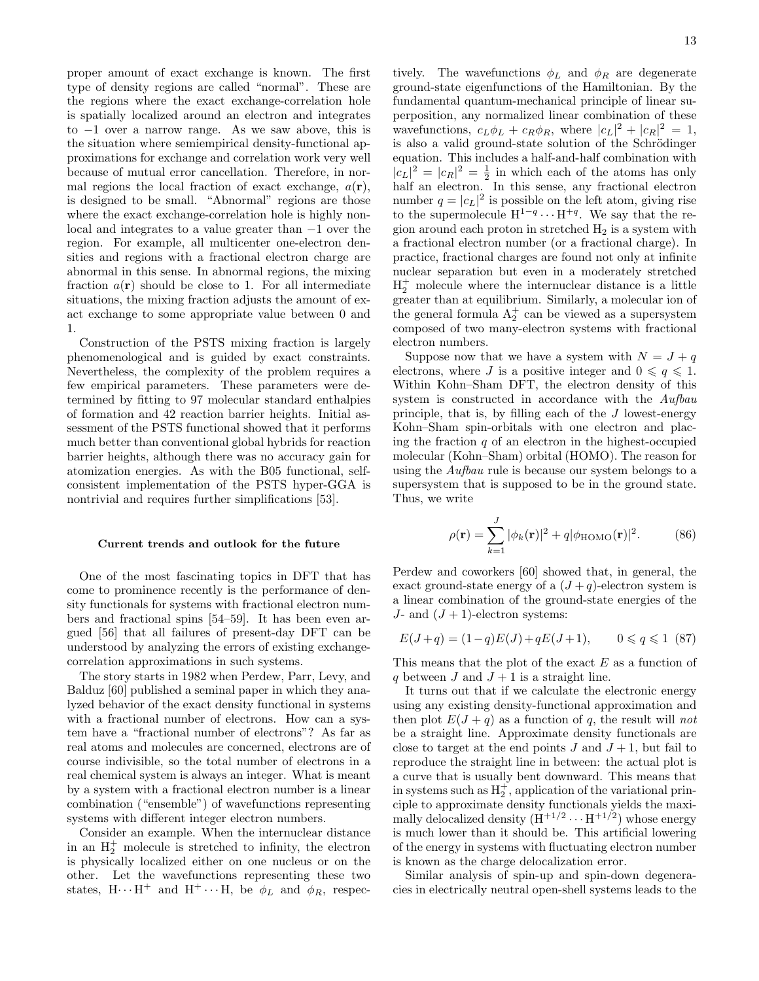proper amount of exact exchange is known. The first type of density regions are called "normal". These are the regions where the exact exchange-correlation hole is spatially localized around an electron and integrates to −1 over a narrow range. As we saw above, this is the situation where semiempirical density-functional approximations for exchange and correlation work very well because of mutual error cancellation. Therefore, in normal regions the local fraction of exact exchange,  $a(\mathbf{r})$ , is designed to be small. "Abnormal" regions are those where the exact exchange-correlation hole is highly nonlocal and integrates to a value greater than −1 over the region. For example, all multicenter one-electron densities and regions with a fractional electron charge are abnormal in this sense. In abnormal regions, the mixing fraction  $a(\mathbf{r})$  should be close to 1. For all intermediate situations, the mixing fraction adjusts the amount of exact exchange to some appropriate value between 0 and 1.

Construction of the PSTS mixing fraction is largely phenomenological and is guided by exact constraints. Nevertheless, the complexity of the problem requires a few empirical parameters. These parameters were determined by fitting to 97 molecular standard enthalpies of formation and 42 reaction barrier heights. Initial assessment of the PSTS functional showed that it performs much better than conventional global hybrids for reaction barrier heights, although there was no accuracy gain for atomization energies. As with the B05 functional, selfconsistent implementation of the PSTS hyper-GGA is nontrivial and requires further simplifications [53].

### Current trends and outlook for the future

One of the most fascinating topics in DFT that has come to prominence recently is the performance of density functionals for systems with fractional electron numbers and fractional spins [54–59]. It has been even argued [56] that all failures of present-day DFT can be understood by analyzing the errors of existing exchangecorrelation approximations in such systems.

The story starts in 1982 when Perdew, Parr, Levy, and Balduz [60] published a seminal paper in which they analyzed behavior of the exact density functional in systems with a fractional number of electrons. How can a system have a "fractional number of electrons"? As far as real atoms and molecules are concerned, electrons are of course indivisible, so the total number of electrons in a real chemical system is always an integer. What is meant by a system with a fractional electron number is a linear combination ("ensemble") of wavefunctions representing systems with different integer electron numbers.

Consider an example. When the internuclear distance in an  $H_2^+$  molecule is stretched to infinity, the electron is physically localized either on one nucleus or on the other. Let the wavefunctions representing these two states, H $\cdots$ H<sup>+</sup> and H<sup>+</sup> $\cdots$ H, be  $\phi_L$  and  $\phi_R$ , respec-

tively. The wavefunctions  $\phi_L$  and  $\phi_R$  are degenerate ground-state eigenfunctions of the Hamiltonian. By the fundamental quantum-mechanical principle of linear superposition, any normalized linear combination of these wavefunctions,  $c_L \phi_L + c_R \phi_R$ , where  $|c_L|^2 + |c_R|^2 = 1$ , is also a valid ground-state solution of the Schrödinger equation. This includes a half-and-half combination with  $|c_L|^2 = |c_R|^2 = \frac{1}{2}$  in which each of the atoms has only half an electron. In this sense, any fractional electron number  $q = |c_L|^2$  is possible on the left atom, giving rise to the supermolecule  $H^{1-q} \cdots H^{+q}$ . We say that the region around each proton in stretched  $H_2$  is a system with a fractional electron number (or a fractional charge). In practice, fractional charges are found not only at infinite nuclear separation but even in a moderately stretched  $H_2^+$  molecule where the internuclear distance is a little greater than at equilibrium. Similarly, a molecular ion of the general formula  $A_2^+$  can be viewed as a supersystem composed of two many-electron systems with fractional electron numbers.

Suppose now that we have a system with  $N = J + q$ electrons, where J is a positive integer and  $0 \leq q \leq 1$ . Within Kohn–Sham DFT, the electron density of this system is constructed in accordance with the Aufbau principle, that is, by filling each of the J lowest-energy Kohn–Sham spin-orbitals with one electron and placing the fraction  $q$  of an electron in the highest-occupied molecular (Kohn–Sham) orbital (HOMO). The reason for using the Aufbau rule is because our system belongs to a supersystem that is supposed to be in the ground state. Thus, we write

$$
\rho(\mathbf{r}) = \sum_{k=1}^{J} |\phi_k(\mathbf{r})|^2 + q |\phi_{\text{HOMO}}(\mathbf{r})|^2.
$$
 (86)

Perdew and coworkers [60] showed that, in general, the exact ground-state energy of a  $(J+q)$ -electron system is a linear combination of the ground-state energies of the  $J$ - and  $(J + 1)$ -electron systems:

$$
E(J+q) = (1-q)E(J) + qE(J+1), \qquad 0 \le q \le 1 \tag{87}
$$

This means that the plot of the exact  $E$  as a function of q between J and  $J + 1$  is a straight line.

It turns out that if we calculate the electronic energy using any existing density-functional approximation and then plot  $E(J + q)$  as a function of q, the result will not be a straight line. Approximate density functionals are close to target at the end points  $J$  and  $J+1$ , but fail to reproduce the straight line in between: the actual plot is a curve that is usually bent downward. This means that in systems such as  $H_2^+$ , application of the variational principle to approximate density functionals yields the maximally delocalized density  $(H^{+1/2} \cdots H^{+1/2})$  whose energy is much lower than it should be. This artificial lowering of the energy in systems with fluctuating electron number is known as the charge delocalization error.

Similar analysis of spin-up and spin-down degeneracies in electrically neutral open-shell systems leads to the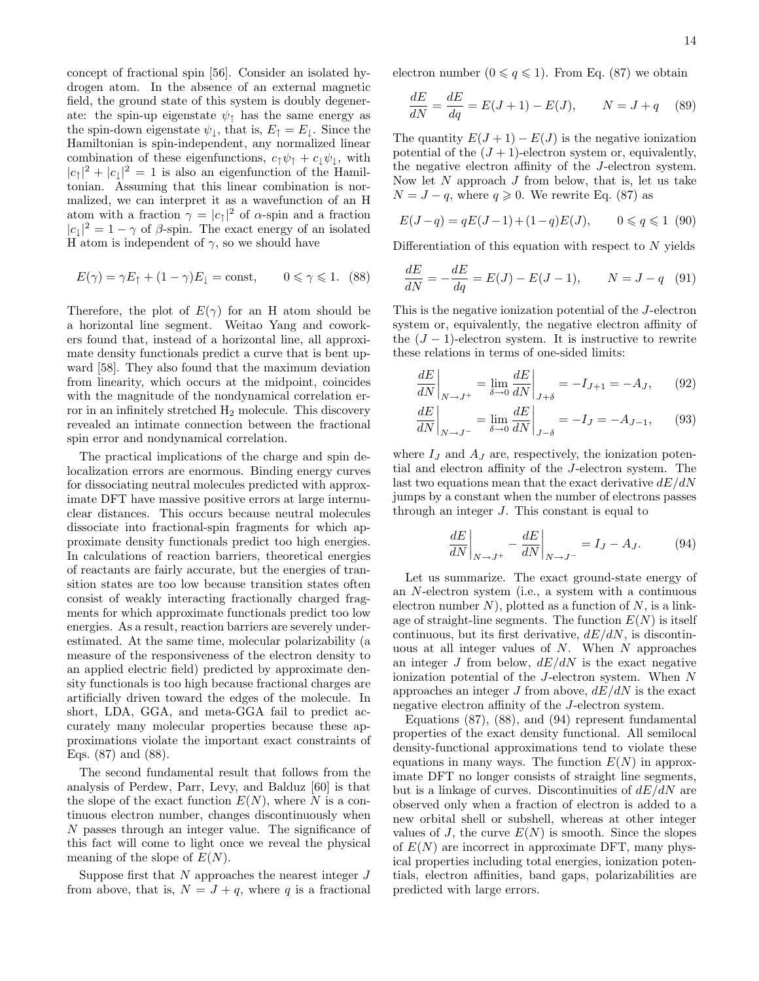concept of fractional spin [56]. Consider an isolated hydrogen atom. In the absence of an external magnetic field, the ground state of this system is doubly degenerate: the spin-up eigenstate  $\psi_{\uparrow}$  has the same energy as the spin-down eigenstate  $\psi_1$ , that is,  $E_{\uparrow} = E_{\downarrow}$ . Since the Hamiltonian is spin-independent, any normalized linear combination of these eigenfunctions,  $c_{\uparrow}\psi_{\uparrow} + c_{\downarrow}\psi_{\downarrow}$ , with  $|c_1|^2 + |c_1|^2 = 1$  is also an eigenfunction of the Hamiltonian. Assuming that this linear combination is normalized, we can interpret it as a wavefunction of an H atom with a fraction  $\gamma = |c_{\uparrow}|^2$  of  $\alpha$ -spin and a fraction  $|c_{\downarrow}|^2 = 1 - \gamma$  of  $\beta$ -spin. The exact energy of an isolated H atom is independent of  $\gamma$ , so we should have

$$
E(\gamma) = \gamma E_{\uparrow} + (1 - \gamma)E_{\downarrow} = \text{const}, \qquad 0 \le \gamma \le 1. \tag{88}
$$

Therefore, the plot of  $E(\gamma)$  for an H atom should be a horizontal line segment. Weitao Yang and coworkers found that, instead of a horizontal line, all approximate density functionals predict a curve that is bent upward [58]. They also found that the maximum deviation from linearity, which occurs at the midpoint, coincides with the magnitude of the nondynamical correlation error in an infinitely stretched  $H_2$  molecule. This discovery revealed an intimate connection between the fractional spin error and nondynamical correlation.

The practical implications of the charge and spin delocalization errors are enormous. Binding energy curves for dissociating neutral molecules predicted with approximate DFT have massive positive errors at large internuclear distances. This occurs because neutral molecules dissociate into fractional-spin fragments for which approximate density functionals predict too high energies. In calculations of reaction barriers, theoretical energies of reactants are fairly accurate, but the energies of transition states are too low because transition states often consist of weakly interacting fractionally charged fragments for which approximate functionals predict too low energies. As a result, reaction barriers are severely underestimated. At the same time, molecular polarizability (a measure of the responsiveness of the electron density to an applied electric field) predicted by approximate density functionals is too high because fractional charges are artificially driven toward the edges of the molecule. In short, LDA, GGA, and meta-GGA fail to predict accurately many molecular properties because these approximations violate the important exact constraints of Eqs. (87) and (88).

The second fundamental result that follows from the analysis of Perdew, Parr, Levy, and Balduz [60] is that the slope of the exact function  $E(N)$ , where N is a continuous electron number, changes discontinuously when N passes through an integer value. The significance of this fact will come to light once we reveal the physical meaning of the slope of  $E(N)$ .

Suppose first that  $N$  approaches the nearest integer  $J$ from above, that is,  $N = J + q$ , where q is a fractional electron number  $(0 \leq q \leq 1)$ . From Eq. (87) we obtain

$$
\frac{dE}{dN} = \frac{dE}{dq} = E(J+1) - E(J), \qquad N = J + q \quad (89)
$$

The quantity  $E(J+1) - E(J)$  is the negative ionization potential of the  $(J + 1)$ -electron system or, equivalently, the negative electron affinity of the J-electron system. Now let  $N$  approach  $J$  from below, that is, let us take  $N = J - q$ , where  $q \ge 0$ . We rewrite Eq. (87) as

$$
E(J-q) = qE(J-1) + (1-q)E(J), \qquad 0 \le q \le 1 \tag{90}
$$

Differentiation of this equation with respect to  $N$  yields

$$
\frac{dE}{dN} = -\frac{dE}{dq} = E(J) - E(J-1), \qquad N = J - q \quad (91)
$$

This is the negative ionization potential of the J-electron system or, equivalently, the negative electron affinity of the  $(J-1)$ -electron system. It is instructive to rewrite these relations in terms of one-sided limits:

$$
\left. \frac{dE}{dN} \right|_{N \to J^+} = \lim_{\delta \to 0} \left. \frac{dE}{dN} \right|_{J+\delta} = -I_{J+1} = -A_J,\tag{92}
$$

$$
\left. \frac{dE}{dN} \right|_{N \to J^-} = \lim_{\delta \to 0} \left. \frac{dE}{dN} \right|_{J - \delta} = -I_J = -A_{J-1}, \qquad (93)
$$

where  $I_J$  and  $A_J$  are, respectively, the ionization potential and electron affinity of the J-electron system. The last two equations mean that the exact derivative  $dE/dN$ jumps by a constant when the number of electrons passes through an integer J. This constant is equal to

$$
\left. \frac{dE}{dN} \right|_{N \to J^+} - \left. \frac{dE}{dN} \right|_{N \to J^-} = I_J - A_J. \tag{94}
$$

Let us summarize. The exact ground-state energy of an N-electron system (i.e., a system with a continuous electron number  $N$ ), plotted as a function of  $N$ , is a linkage of straight-line segments. The function  $E(N)$  is itself continuous, but its first derivative,  $dE/dN$ , is discontinuous at all integer values of  $N$ . When  $N$  approaches an integer J from below,  $dE/dN$  is the exact negative ionization potential of the J-electron system. When N approaches an integer J from above,  $dE/dN$  is the exact negative electron affinity of the J-electron system.

Equations (87), (88), and (94) represent fundamental properties of the exact density functional. All semilocal density-functional approximations tend to violate these equations in many ways. The function  $E(N)$  in approximate DFT no longer consists of straight line segments, but is a linkage of curves. Discontinuities of  $dE/dN$  are observed only when a fraction of electron is added to a new orbital shell or subshell, whereas at other integer values of J, the curve  $E(N)$  is smooth. Since the slopes of  $E(N)$  are incorrect in approximate DFT, many physical properties including total energies, ionization potentials, electron affinities, band gaps, polarizabilities are predicted with large errors.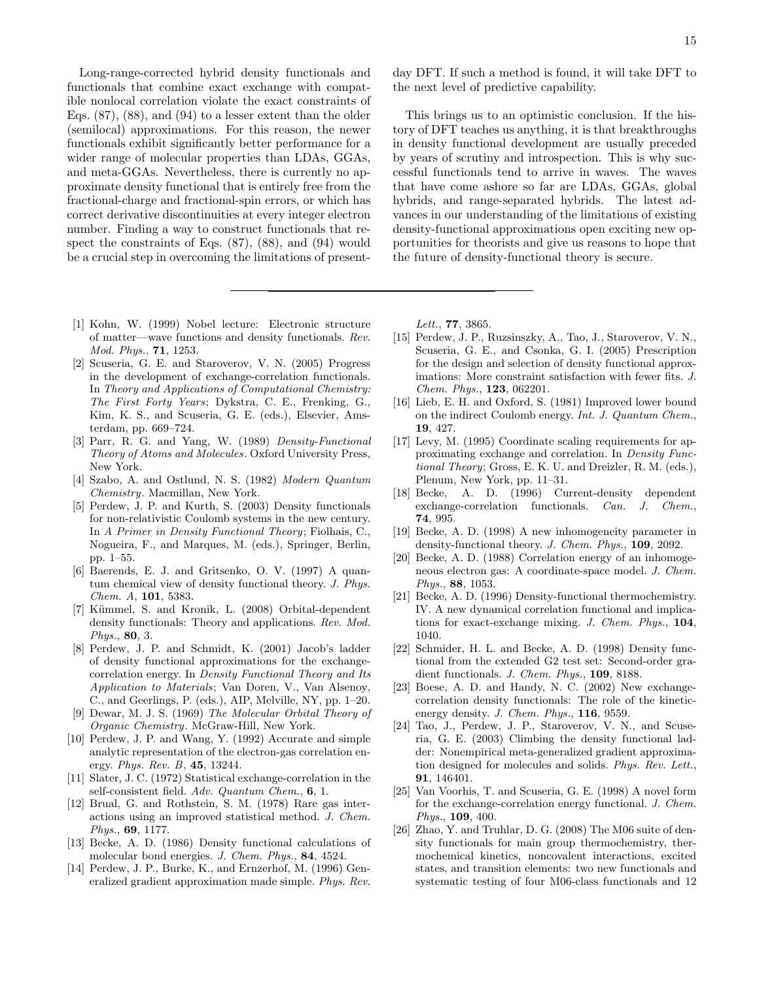Long-range-corrected hybrid density functionals and functionals that combine exact exchange with compatible nonlocal correlation violate the exact constraints of Eqs.  $(87)$ ,  $(88)$ , and  $(94)$  to a lesser extent than the older (semilocal) approximations. For this reason, the newer functionals exhibit significantly better performance for a wider range of molecular properties than LDAs, GGAs, and meta-GGAs. Nevertheless, there is currently no approximate density functional that is entirely free from the fractional-charge and fractional-spin errors, or which has correct derivative discontinuities at every integer electron number. Finding a way to construct functionals that respect the constraints of Eqs. (87), (88), and (94) would be a crucial step in overcoming the limitations of present-

- [1] Kohn, W. (1999) Nobel lecture: Electronic structure of matter—wave functions and density functionals. *Rev. Mod. Phys.*, 71, 1253.
- [2] Scuseria, G. E. and Staroverov, V. N. (2005) Progress in the development of exchange-correlation functionals. In *Theory and Applications of Computational Chemistry: The First Forty Years*; Dykstra, C. E., Frenking, G., Kim, K. S., and Scuseria, G. E. (eds.), Elsevier, Amsterdam, pp. 669–724.
- [3] Parr, R. G. and Yang, W. (1989) *Density-Functional Theory of Atoms and Molecules*. Oxford University Press, New York.
- [4] Szabo, A. and Ostlund, N. S. (1982) *Modern Quantum Chemistry*. Macmillan, New York.
- [5] Perdew, J. P. and Kurth, S. (2003) Density functionals for non-relativistic Coulomb systems in the new century. In *A Primer in Density Functional Theory*; Fiolhais, C., Nogueira, F., and Marques, M. (eds.), Springer, Berlin, pp. 1–55.
- [6] Baerends, E. J. and Gritsenko, O. V. (1997) A quantum chemical view of density functional theory. *J. Phys. Chem. A*, 101, 5383.
- [7] Kümmel, S. and Kronik, L. (2008) Orbital-dependent density functionals: Theory and applications. *Rev. Mod. Phys.*, 80, 3.
- [8] Perdew, J. P. and Schmidt, K. (2001) Jacob's ladder of density functional approximations for the exchangecorrelation energy. In *Density Functional Theory and Its Application to Materials*; Van Doren, V., Van Alsenoy, C., and Geerlings, P. (eds.), AIP, Melville, NY, pp. 1–20.
- [9] Dewar, M. J. S. (1969) *The Molecular Orbital Theory of Organic Chemistry*. McGraw-Hill, New York.
- [10] Perdew, J. P. and Wang, Y. (1992) Accurate and simple analytic representation of the electron-gas correlation energy. *Phys. Rev. B*, 45, 13244.
- [11] Slater, J. C. (1972) Statistical exchange-correlation in the self-consistent field. *Adv. Quantum Chem.*, 6, 1.
- [12] Brual, G. and Rothstein, S. M. (1978) Rare gas interactions using an improved statistical method. *J. Chem. Phys.*, 69, 1177.
- [13] Becke, A. D. (1986) Density functional calculations of molecular bond energies. *J. Chem. Phys.*, 84, 4524.
- [14] Perdew, J. P., Burke, K., and Ernzerhof, M. (1996) Generalized gradient approximation made simple. *Phys. Rev.*

day DFT. If such a method is found, it will take DFT to the next level of predictive capability.

This brings us to an optimistic conclusion. If the history of DFT teaches us anything, it is that breakthroughs in density functional development are usually preceded by years of scrutiny and introspection. This is why successful functionals tend to arrive in waves. The waves that have come ashore so far are LDAs, GGAs, global hybrids, and range-separated hybrids. The latest advances in our understanding of the limitations of existing density-functional approximations open exciting new opportunities for theorists and give us reasons to hope that the future of density-functional theory is secure.

*Lett.*, 77, 3865.

- [15] Perdew, J. P., Ruzsinszky, A., Tao, J., Staroverov, V. N., Scuseria, G. E., and Csonka, G. I. (2005) Prescription for the design and selection of density functional approximations: More constraint satisfaction with fewer fits. *J. Chem. Phys.*, 123, 062201.
- [16] Lieb, E. H. and Oxford, S. (1981) Improved lower bound on the indirect Coulomb energy. *Int. J. Quantum Chem.*, 19, 427.
- [17] Levy, M. (1995) Coordinate scaling requirements for approximating exchange and correlation. In *Density Functional Theory*; Gross, E. K. U. and Dreizler, R. M. (eds.), Plenum, New York, pp. 11–31.
- [18] Becke, A. D. (1996) Current-density dependent exchange-correlation functionals. *Can. J. Chem.*, 74, 995.
- [19] Becke, A. D. (1998) A new inhomogeneity parameter in density-functional theory. *J. Chem. Phys.*, 109, 2092.
- [20] Becke, A. D. (1988) Correlation energy of an inhomogeneous electron gas: A coordinate-space model. *J. Chem. Phys.*, 88, 1053.
- [21] Becke, A. D. (1996) Density-functional thermochemistry. IV. A new dynamical correlation functional and implications for exact-exchange mixing. *J. Chem. Phys.*, 104, 1040.
- [22] Schmider, H. L. and Becke, A. D. (1998) Density functional from the extended G2 test set: Second-order gradient functionals. *J. Chem. Phys.*, 109, 8188.
- [23] Boese, A. D. and Handy, N. C. (2002) New exchangecorrelation density functionals: The role of the kineticenergy density. *J. Chem. Phys.*, 116, 9559.
- [24] Tao, J., Perdew, J. P., Staroverov, V. N., and Scuseria, G. E. (2003) Climbing the density functional ladder: Nonempirical meta-generalized gradient approximation designed for molecules and solids. *Phys. Rev. Lett.*, 91, 146401.
- [25] Van Voorhis, T. and Scuseria, G. E. (1998) A novel form for the exchange-correlation energy functional. *J. Chem. Phys.*, 109, 400.
- [26] Zhao, Y. and Truhlar, D. G. (2008) The M06 suite of density functionals for main group thermochemistry, thermochemical kinetics, noncovalent interactions, excited states, and transition elements: two new functionals and systematic testing of four M06-class functionals and 12